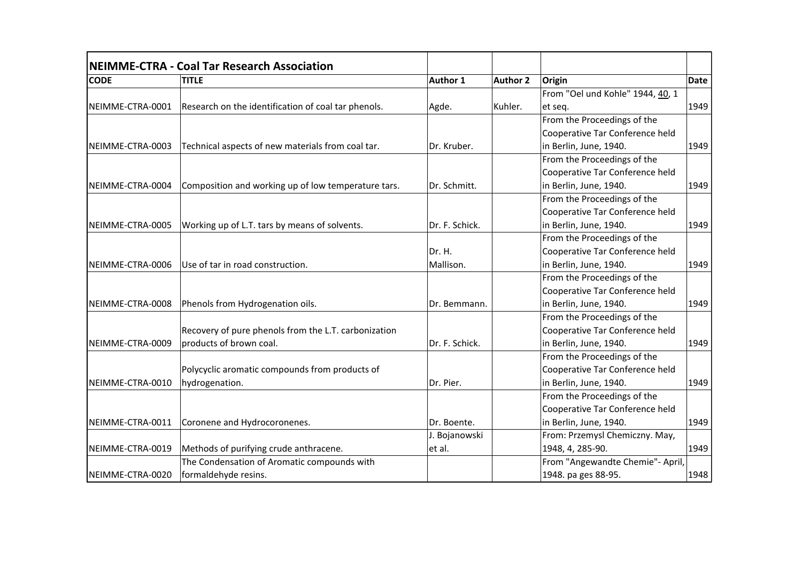|                  | NEIMME-CTRA - Coal Tar Research Association          |                |          |                                  |             |
|------------------|------------------------------------------------------|----------------|----------|----------------------------------|-------------|
| <b>CODE</b>      | <b>TITLE</b>                                         | Author 1       | Author 2 | Origin                           | <b>Date</b> |
|                  |                                                      |                |          | From "Oel und Kohle" 1944, 40, 1 |             |
| NEIMME-CTRA-0001 | Research on the identification of coal tar phenols.  | Agde.          | Kuhler.  | et seq.                          | 1949        |
|                  |                                                      |                |          | From the Proceedings of the      |             |
|                  |                                                      |                |          | Cooperative Tar Conference held  |             |
| NEIMME-CTRA-0003 | Technical aspects of new materials from coal tar.    | Dr. Kruber.    |          | in Berlin, June, 1940.           | 1949        |
|                  |                                                      |                |          | From the Proceedings of the      |             |
|                  |                                                      |                |          | Cooperative Tar Conference held  |             |
| NEIMME-CTRA-0004 | Composition and working up of low temperature tars.  | Dr. Schmitt.   |          | in Berlin, June, 1940.           | 1949        |
|                  |                                                      |                |          | From the Proceedings of the      |             |
|                  |                                                      |                |          | Cooperative Tar Conference held  |             |
| NEIMME-CTRA-0005 | Working up of L.T. tars by means of solvents.        | Dr. F. Schick. |          | in Berlin, June, 1940.           | 1949        |
|                  |                                                      |                |          | From the Proceedings of the      |             |
|                  |                                                      | Dr. H.         |          | Cooperative Tar Conference held  |             |
| NEIMME-CTRA-0006 | Use of tar in road construction.                     | Mallison.      |          | in Berlin, June, 1940.           | 1949        |
|                  |                                                      |                |          | From the Proceedings of the      |             |
|                  |                                                      |                |          | Cooperative Tar Conference held  |             |
| NEIMME-CTRA-0008 | Phenols from Hydrogenation oils.                     | Dr. Bemmann.   |          | in Berlin, June, 1940.           | 1949        |
|                  |                                                      |                |          | From the Proceedings of the      |             |
|                  | Recovery of pure phenols from the L.T. carbonization |                |          | Cooperative Tar Conference held  |             |
| NEIMME-CTRA-0009 | products of brown coal.                              | Dr. F. Schick. |          | in Berlin, June, 1940.           | 1949        |
|                  |                                                      |                |          | From the Proceedings of the      |             |
|                  | Polycyclic aromatic compounds from products of       |                |          | Cooperative Tar Conference held  |             |
| NEIMME-CTRA-0010 | hydrogenation.                                       | Dr. Pier.      |          | in Berlin, June, 1940.           | 1949        |
|                  |                                                      |                |          | From the Proceedings of the      |             |
|                  |                                                      |                |          | Cooperative Tar Conference held  |             |
| NEIMME-CTRA-0011 | Coronene and Hydrocoronenes.                         | Dr. Boente.    |          | in Berlin, June, 1940.           | 1949        |
|                  |                                                      | J. Bojanowski  |          | From: Przemysl Chemiczny. May,   |             |
| NEIMME-CTRA-0019 | Methods of purifying crude anthracene.               | et al.         |          | 1948, 4, 285-90.                 | 1949        |
|                  | The Condensation of Aromatic compounds with          |                |          | From "Angewandte Chemie"- April, |             |
| NEIMME-CTRA-0020 | formaldehyde resins.                                 |                |          | 1948. pa ges 88-95.              | 1948        |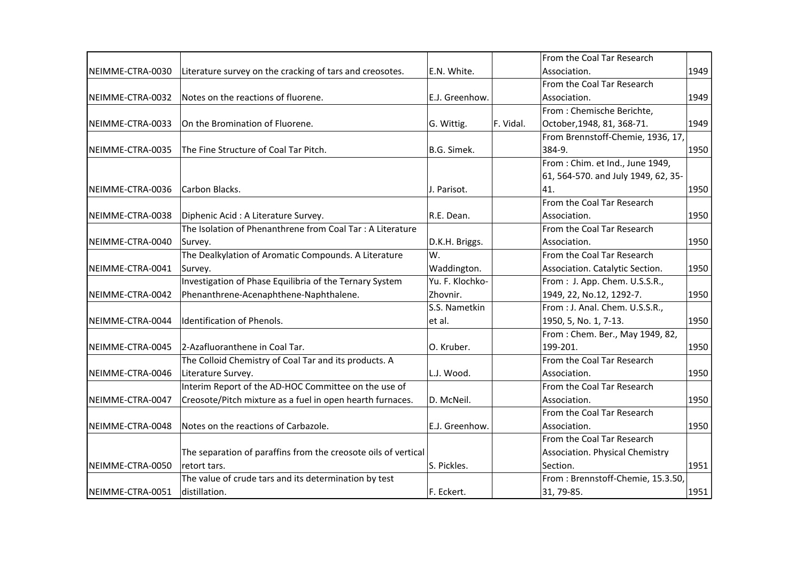|                  |                                                                |                 |           | From the Coal Tar Research          |      |
|------------------|----------------------------------------------------------------|-----------------|-----------|-------------------------------------|------|
| NEIMME-CTRA-0030 | Literature survey on the cracking of tars and creosotes.       | E.N. White.     |           | Association.                        | 1949 |
|                  |                                                                |                 |           | From the Coal Tar Research          |      |
| NEIMME-CTRA-0032 | Notes on the reactions of fluorene.                            | E.J. Greenhow.  |           | Association.                        | 1949 |
|                  |                                                                |                 |           | From: Chemische Berichte,           |      |
| NEIMME-CTRA-0033 | On the Bromination of Fluorene.                                | G. Wittig.      | F. Vidal. | October, 1948, 81, 368-71.          | 1949 |
|                  |                                                                |                 |           | From Brennstoff-Chemie, 1936, 17,   |      |
| NEIMME-CTRA-0035 | The Fine Structure of Coal Tar Pitch.                          | B.G. Simek.     |           | 384-9.                              | 1950 |
|                  |                                                                |                 |           | From: Chim. et Ind., June 1949,     |      |
|                  |                                                                |                 |           | 61, 564-570. and July 1949, 62, 35- |      |
| NEIMME-CTRA-0036 | Carbon Blacks.                                                 | J. Parisot.     |           | 41.                                 | 1950 |
|                  |                                                                |                 |           | From the Coal Tar Research          |      |
| NEIMME-CTRA-0038 | Diphenic Acid : A Literature Survey.                           | R.E. Dean.      |           | Association.                        | 1950 |
|                  | The Isolation of Phenanthrene from Coal Tar: A Literature      |                 |           | From the Coal Tar Research          |      |
| NEIMME-CTRA-0040 | Survey.                                                        | D.K.H. Briggs.  |           | Association.                        | 1950 |
|                  | The Dealkylation of Aromatic Compounds. A Literature           | W.              |           | From the Coal Tar Research          |      |
| NEIMME-CTRA-0041 | Survey.                                                        | Waddington.     |           | Association. Catalytic Section.     | 1950 |
|                  | Investigation of Phase Equilibria of the Ternary System        | Yu. F. Klochko- |           | From: J. App. Chem. U.S.S.R.,       |      |
| NEIMME-CTRA-0042 | Phenanthrene-Acenaphthene-Naphthalene.                         | Zhovnir.        |           | 1949, 22, No.12, 1292-7.            | 1950 |
|                  |                                                                | S.S. Nametkin   |           | From : J. Anal. Chem. U.S.S.R.,     |      |
| NEIMME-CTRA-0044 | Identification of Phenols.                                     | et al.          |           | 1950, 5, No. 1, 7-13.               | 1950 |
|                  |                                                                |                 |           | From: Chem. Ber., May 1949, 82,     |      |
| NEIMME-CTRA-0045 | 2-Azafluoranthene in Coal Tar.                                 | O. Kruber.      |           | 199-201.                            | 1950 |
|                  | The Colloid Chemistry of Coal Tar and its products. A          |                 |           | From the Coal Tar Research          |      |
| NEIMME-CTRA-0046 | Literature Survey.                                             | L.J. Wood.      |           | Association.                        | 1950 |
|                  | Interim Report of the AD-HOC Committee on the use of           |                 |           | From the Coal Tar Research          |      |
| NEIMME-CTRA-0047 | Creosote/Pitch mixture as a fuel in open hearth furnaces.      | D. McNeil.      |           | Association.                        | 1950 |
|                  |                                                                |                 |           | From the Coal Tar Research          |      |
| NEIMME-CTRA-0048 | Notes on the reactions of Carbazole.                           | E.J. Greenhow.  |           | Association.                        | 1950 |
|                  |                                                                |                 |           | From the Coal Tar Research          |      |
|                  | The separation of paraffins from the creosote oils of vertical |                 |           | Association. Physical Chemistry     |      |
| NEIMME-CTRA-0050 | retort tars.                                                   | S. Pickles.     |           | Section.                            | 1951 |
|                  | The value of crude tars and its determination by test          |                 |           | From: Brennstoff-Chemie, 15.3.50,   |      |
| NEIMME-CTRA-0051 | distillation.                                                  | F. Eckert.      |           | 31, 79-85.                          | 1951 |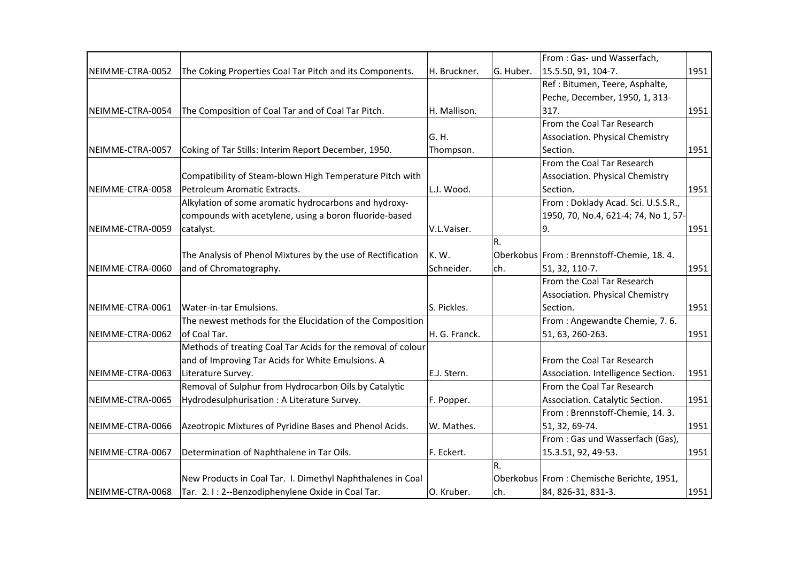|                  |                                                              |               |                | From: Gas- und Wasserfach,                |      |
|------------------|--------------------------------------------------------------|---------------|----------------|-------------------------------------------|------|
| NEIMME-CTRA-0052 | The Coking Properties Coal Tar Pitch and its Components.     | H. Bruckner.  | G. Huber.      | 15.5.50, 91, 104-7.                       | 1951 |
|                  |                                                              |               |                | Ref : Bitumen, Teere, Asphalte,           |      |
|                  |                                                              |               |                | Peche, December, 1950, 1, 313-            |      |
| NEIMME-CTRA-0054 | The Composition of Coal Tar and of Coal Tar Pitch.           | H. Mallison.  |                | 317.                                      | 1951 |
|                  |                                                              |               |                | From the Coal Tar Research                |      |
|                  |                                                              | G.H.          |                | Association. Physical Chemistry           |      |
| NEIMME-CTRA-0057 | Coking of Tar Stills: Interim Report December, 1950.         | Thompson.     |                | Section.                                  | 1951 |
|                  |                                                              |               |                | From the Coal Tar Research                |      |
|                  | Compatibility of Steam-blown High Temperature Pitch with     |               |                | Association. Physical Chemistry           |      |
| NEIMME-CTRA-0058 | Petroleum Aromatic Extracts.                                 | L.J. Wood.    |                | Section.                                  | 1951 |
|                  | Alkylation of some aromatic hydrocarbons and hydroxy-        |               |                | From: Doklady Acad. Sci. U.S.S.R.,        |      |
|                  | compounds with acetylene, using a boron fluoride-based       |               |                | 1950, 70, No.4, 621-4; 74, No 1, 57-      |      |
| NEIMME-CTRA-0059 | catalyst.                                                    | V.L.Vaiser.   |                | l9.                                       | 1951 |
|                  |                                                              |               | R.             |                                           |      |
|                  | The Analysis of Phenol Mixtures by the use of Rectification  | K.W.          |                | Oberkobus From: Brennstoff-Chemie, 18.4.  |      |
| NEIMME-CTRA-0060 | and of Chromatography.                                       | Schneider.    | ch.            | 51, 32, 110-7.                            | 1951 |
|                  |                                                              |               |                | From the Coal Tar Research                |      |
|                  |                                                              |               |                | Association. Physical Chemistry           |      |
| NEIMME-CTRA-0061 | Water-in-tar Emulsions.                                      | S. Pickles.   |                | Section.                                  | 1951 |
|                  | The newest methods for the Elucidation of the Composition    |               |                | From : Angewandte Chemie, 7.6.            |      |
| NEIMME-CTRA-0062 | of Coal Tar.                                                 | H. G. Franck. |                | 51, 63, 260-263.                          | 1951 |
|                  | Methods of treating Coal Tar Acids for the removal of colour |               |                |                                           |      |
|                  | and of Improving Tar Acids for White Emulsions. A            |               |                | From the Coal Tar Research                |      |
| NEIMME-CTRA-0063 | Literature Survey.                                           | E.J. Stern.   |                | Association. Intelligence Section.        | 1951 |
|                  | Removal of Sulphur from Hydrocarbon Oils by Catalytic        |               |                | From the Coal Tar Research                |      |
| NEIMME-CTRA-0065 | Hydrodesulphurisation : A Literature Survey.                 | F. Popper.    |                | Association. Catalytic Section.           | 1951 |
|                  |                                                              |               |                | From: Brennstoff-Chemie, 14.3.            |      |
| NEIMME-CTRA-0066 | Azeotropic Mixtures of Pyridine Bases and Phenol Acids.      | W. Mathes.    |                | 51, 32, 69-74.                            | 1951 |
|                  |                                                              |               |                | From: Gas und Wasserfach (Gas),           |      |
| NEIMME-CTRA-0067 | Determination of Naphthalene in Tar Oils.                    | F. Eckert.    |                | 15.3.51, 92, 49-53.                       | 1951 |
|                  |                                                              |               | $\mathsf{R}$ . |                                           |      |
|                  | New Products in Coal Tar. I. Dimethyl Naphthalenes in Coal   |               |                | Oberkobus From: Chemische Berichte, 1951, |      |
| NEIMME-CTRA-0068 | Tar. 2.1: 2--Benzodiphenylene Oxide in Coal Tar.             | O. Kruber.    | ch.            | 84, 826-31, 831-3.                        | 1951 |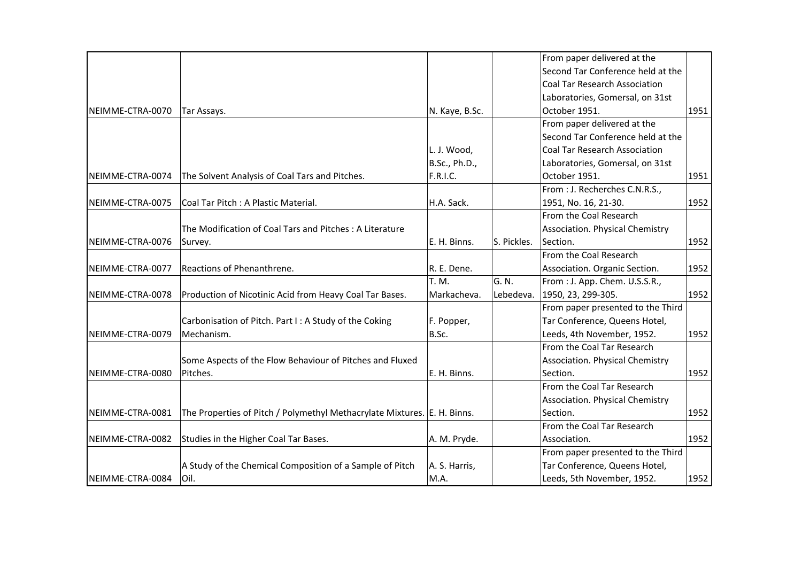| From paper delivered at the<br>Second Tar Conference held at the<br>Coal Tar Research Association<br>Laboratories, Gomersal, on 31st<br>October 1951.<br>N. Kaye, B.Sc.<br>Tar Assays.<br>From paper delivered at the<br>Second Tar Conference held at the<br>L. J. Wood,<br><b>Coal Tar Research Association</b><br>B.Sc., Ph.D.,<br>Laboratories, Gomersal, on 31st<br><b>F.R.I.C.</b><br>October 1951.<br>The Solvent Analysis of Coal Tars and Pitches.<br>From : J. Recherches C.N.R.S.,<br>Coal Tar Pitch: A Plastic Material.<br>H.A. Sack.<br>1951, No. 16, 21-30.<br>From the Coal Research<br>The Modification of Coal Tars and Pitches: A Literature<br>Association. Physical Chemistry<br>S. Pickles.<br>Section.<br>E. H. Binns.<br>Survey.<br>From the Coal Research<br>Reactions of Phenanthrene.<br>R. E. Dene.<br>Association. Organic Section.<br>G. N.<br>T. M.<br>From : J. App. Chem. U.S.S.R.,<br>Lebedeva.<br>1950, 23, 299-305.<br>Production of Nicotinic Acid from Heavy Coal Tar Bases.<br>Markacheva.<br>From paper presented to the Third<br>Tar Conference, Queens Hotel,<br>Carbonisation of Pitch. Part I: A Study of the Coking<br>F. Popper,<br>B.Sc.<br>Mechanism.<br>Leeds, 4th November, 1952.<br>From the Coal Tar Research<br>Some Aspects of the Flow Behaviour of Pitches and Fluxed<br>Association. Physical Chemistry<br>Pitches.<br>E. H. Binns.<br>Section.<br>From the Coal Tar Research<br>Association. Physical Chemistry<br>Section.<br>The Properties of Pitch / Polymethyl Methacrylate Mixtures. E. H. Binns.<br>From the Coal Tar Research<br>Studies in the Higher Coal Tar Bases.<br>A. M. Pryde.<br>Association.<br>From paper presented to the Third<br>A Study of the Chemical Composition of a Sample of Pitch<br>Tar Conference, Queens Hotel,<br>A. S. Harris,<br>M.A.<br>Leeds, 5th November, 1952.<br>lOil. |                  |  |  |      |
|----------------------------------------------------------------------------------------------------------------------------------------------------------------------------------------------------------------------------------------------------------------------------------------------------------------------------------------------------------------------------------------------------------------------------------------------------------------------------------------------------------------------------------------------------------------------------------------------------------------------------------------------------------------------------------------------------------------------------------------------------------------------------------------------------------------------------------------------------------------------------------------------------------------------------------------------------------------------------------------------------------------------------------------------------------------------------------------------------------------------------------------------------------------------------------------------------------------------------------------------------------------------------------------------------------------------------------------------------------------------------------------------------------------------------------------------------------------------------------------------------------------------------------------------------------------------------------------------------------------------------------------------------------------------------------------------------------------------------------------------------------------------------------------------------------------------------------------------------------------------------|------------------|--|--|------|
|                                                                                                                                                                                                                                                                                                                                                                                                                                                                                                                                                                                                                                                                                                                                                                                                                                                                                                                                                                                                                                                                                                                                                                                                                                                                                                                                                                                                                                                                                                                                                                                                                                                                                                                                                                                                                                                                            |                  |  |  |      |
|                                                                                                                                                                                                                                                                                                                                                                                                                                                                                                                                                                                                                                                                                                                                                                                                                                                                                                                                                                                                                                                                                                                                                                                                                                                                                                                                                                                                                                                                                                                                                                                                                                                                                                                                                                                                                                                                            |                  |  |  |      |
|                                                                                                                                                                                                                                                                                                                                                                                                                                                                                                                                                                                                                                                                                                                                                                                                                                                                                                                                                                                                                                                                                                                                                                                                                                                                                                                                                                                                                                                                                                                                                                                                                                                                                                                                                                                                                                                                            |                  |  |  |      |
|                                                                                                                                                                                                                                                                                                                                                                                                                                                                                                                                                                                                                                                                                                                                                                                                                                                                                                                                                                                                                                                                                                                                                                                                                                                                                                                                                                                                                                                                                                                                                                                                                                                                                                                                                                                                                                                                            |                  |  |  |      |
|                                                                                                                                                                                                                                                                                                                                                                                                                                                                                                                                                                                                                                                                                                                                                                                                                                                                                                                                                                                                                                                                                                                                                                                                                                                                                                                                                                                                                                                                                                                                                                                                                                                                                                                                                                                                                                                                            | NEIMME-CTRA-0070 |  |  | 1951 |
|                                                                                                                                                                                                                                                                                                                                                                                                                                                                                                                                                                                                                                                                                                                                                                                                                                                                                                                                                                                                                                                                                                                                                                                                                                                                                                                                                                                                                                                                                                                                                                                                                                                                                                                                                                                                                                                                            |                  |  |  |      |
|                                                                                                                                                                                                                                                                                                                                                                                                                                                                                                                                                                                                                                                                                                                                                                                                                                                                                                                                                                                                                                                                                                                                                                                                                                                                                                                                                                                                                                                                                                                                                                                                                                                                                                                                                                                                                                                                            |                  |  |  |      |
|                                                                                                                                                                                                                                                                                                                                                                                                                                                                                                                                                                                                                                                                                                                                                                                                                                                                                                                                                                                                                                                                                                                                                                                                                                                                                                                                                                                                                                                                                                                                                                                                                                                                                                                                                                                                                                                                            |                  |  |  |      |
|                                                                                                                                                                                                                                                                                                                                                                                                                                                                                                                                                                                                                                                                                                                                                                                                                                                                                                                                                                                                                                                                                                                                                                                                                                                                                                                                                                                                                                                                                                                                                                                                                                                                                                                                                                                                                                                                            |                  |  |  |      |
|                                                                                                                                                                                                                                                                                                                                                                                                                                                                                                                                                                                                                                                                                                                                                                                                                                                                                                                                                                                                                                                                                                                                                                                                                                                                                                                                                                                                                                                                                                                                                                                                                                                                                                                                                                                                                                                                            | NEIMME-CTRA-0074 |  |  | 1951 |
|                                                                                                                                                                                                                                                                                                                                                                                                                                                                                                                                                                                                                                                                                                                                                                                                                                                                                                                                                                                                                                                                                                                                                                                                                                                                                                                                                                                                                                                                                                                                                                                                                                                                                                                                                                                                                                                                            |                  |  |  |      |
|                                                                                                                                                                                                                                                                                                                                                                                                                                                                                                                                                                                                                                                                                                                                                                                                                                                                                                                                                                                                                                                                                                                                                                                                                                                                                                                                                                                                                                                                                                                                                                                                                                                                                                                                                                                                                                                                            | NEIMME-CTRA-0075 |  |  | 1952 |
|                                                                                                                                                                                                                                                                                                                                                                                                                                                                                                                                                                                                                                                                                                                                                                                                                                                                                                                                                                                                                                                                                                                                                                                                                                                                                                                                                                                                                                                                                                                                                                                                                                                                                                                                                                                                                                                                            |                  |  |  |      |
|                                                                                                                                                                                                                                                                                                                                                                                                                                                                                                                                                                                                                                                                                                                                                                                                                                                                                                                                                                                                                                                                                                                                                                                                                                                                                                                                                                                                                                                                                                                                                                                                                                                                                                                                                                                                                                                                            |                  |  |  |      |
|                                                                                                                                                                                                                                                                                                                                                                                                                                                                                                                                                                                                                                                                                                                                                                                                                                                                                                                                                                                                                                                                                                                                                                                                                                                                                                                                                                                                                                                                                                                                                                                                                                                                                                                                                                                                                                                                            | NEIMME-CTRA-0076 |  |  | 1952 |
|                                                                                                                                                                                                                                                                                                                                                                                                                                                                                                                                                                                                                                                                                                                                                                                                                                                                                                                                                                                                                                                                                                                                                                                                                                                                                                                                                                                                                                                                                                                                                                                                                                                                                                                                                                                                                                                                            |                  |  |  |      |
|                                                                                                                                                                                                                                                                                                                                                                                                                                                                                                                                                                                                                                                                                                                                                                                                                                                                                                                                                                                                                                                                                                                                                                                                                                                                                                                                                                                                                                                                                                                                                                                                                                                                                                                                                                                                                                                                            | NEIMME-CTRA-0077 |  |  | 1952 |
|                                                                                                                                                                                                                                                                                                                                                                                                                                                                                                                                                                                                                                                                                                                                                                                                                                                                                                                                                                                                                                                                                                                                                                                                                                                                                                                                                                                                                                                                                                                                                                                                                                                                                                                                                                                                                                                                            |                  |  |  |      |
|                                                                                                                                                                                                                                                                                                                                                                                                                                                                                                                                                                                                                                                                                                                                                                                                                                                                                                                                                                                                                                                                                                                                                                                                                                                                                                                                                                                                                                                                                                                                                                                                                                                                                                                                                                                                                                                                            | NEIMME-CTRA-0078 |  |  | 1952 |
|                                                                                                                                                                                                                                                                                                                                                                                                                                                                                                                                                                                                                                                                                                                                                                                                                                                                                                                                                                                                                                                                                                                                                                                                                                                                                                                                                                                                                                                                                                                                                                                                                                                                                                                                                                                                                                                                            |                  |  |  |      |
|                                                                                                                                                                                                                                                                                                                                                                                                                                                                                                                                                                                                                                                                                                                                                                                                                                                                                                                                                                                                                                                                                                                                                                                                                                                                                                                                                                                                                                                                                                                                                                                                                                                                                                                                                                                                                                                                            |                  |  |  |      |
|                                                                                                                                                                                                                                                                                                                                                                                                                                                                                                                                                                                                                                                                                                                                                                                                                                                                                                                                                                                                                                                                                                                                                                                                                                                                                                                                                                                                                                                                                                                                                                                                                                                                                                                                                                                                                                                                            | NEIMME-CTRA-0079 |  |  | 1952 |
|                                                                                                                                                                                                                                                                                                                                                                                                                                                                                                                                                                                                                                                                                                                                                                                                                                                                                                                                                                                                                                                                                                                                                                                                                                                                                                                                                                                                                                                                                                                                                                                                                                                                                                                                                                                                                                                                            |                  |  |  |      |
|                                                                                                                                                                                                                                                                                                                                                                                                                                                                                                                                                                                                                                                                                                                                                                                                                                                                                                                                                                                                                                                                                                                                                                                                                                                                                                                                                                                                                                                                                                                                                                                                                                                                                                                                                                                                                                                                            |                  |  |  |      |
|                                                                                                                                                                                                                                                                                                                                                                                                                                                                                                                                                                                                                                                                                                                                                                                                                                                                                                                                                                                                                                                                                                                                                                                                                                                                                                                                                                                                                                                                                                                                                                                                                                                                                                                                                                                                                                                                            | NEIMME-CTRA-0080 |  |  | 1952 |
|                                                                                                                                                                                                                                                                                                                                                                                                                                                                                                                                                                                                                                                                                                                                                                                                                                                                                                                                                                                                                                                                                                                                                                                                                                                                                                                                                                                                                                                                                                                                                                                                                                                                                                                                                                                                                                                                            |                  |  |  |      |
|                                                                                                                                                                                                                                                                                                                                                                                                                                                                                                                                                                                                                                                                                                                                                                                                                                                                                                                                                                                                                                                                                                                                                                                                                                                                                                                                                                                                                                                                                                                                                                                                                                                                                                                                                                                                                                                                            |                  |  |  |      |
|                                                                                                                                                                                                                                                                                                                                                                                                                                                                                                                                                                                                                                                                                                                                                                                                                                                                                                                                                                                                                                                                                                                                                                                                                                                                                                                                                                                                                                                                                                                                                                                                                                                                                                                                                                                                                                                                            | NEIMME-CTRA-0081 |  |  | 1952 |
|                                                                                                                                                                                                                                                                                                                                                                                                                                                                                                                                                                                                                                                                                                                                                                                                                                                                                                                                                                                                                                                                                                                                                                                                                                                                                                                                                                                                                                                                                                                                                                                                                                                                                                                                                                                                                                                                            |                  |  |  |      |
|                                                                                                                                                                                                                                                                                                                                                                                                                                                                                                                                                                                                                                                                                                                                                                                                                                                                                                                                                                                                                                                                                                                                                                                                                                                                                                                                                                                                                                                                                                                                                                                                                                                                                                                                                                                                                                                                            | NEIMME-CTRA-0082 |  |  | 1952 |
|                                                                                                                                                                                                                                                                                                                                                                                                                                                                                                                                                                                                                                                                                                                                                                                                                                                                                                                                                                                                                                                                                                                                                                                                                                                                                                                                                                                                                                                                                                                                                                                                                                                                                                                                                                                                                                                                            |                  |  |  |      |
|                                                                                                                                                                                                                                                                                                                                                                                                                                                                                                                                                                                                                                                                                                                                                                                                                                                                                                                                                                                                                                                                                                                                                                                                                                                                                                                                                                                                                                                                                                                                                                                                                                                                                                                                                                                                                                                                            |                  |  |  |      |
|                                                                                                                                                                                                                                                                                                                                                                                                                                                                                                                                                                                                                                                                                                                                                                                                                                                                                                                                                                                                                                                                                                                                                                                                                                                                                                                                                                                                                                                                                                                                                                                                                                                                                                                                                                                                                                                                            | NEIMME-CTRA-0084 |  |  | 1952 |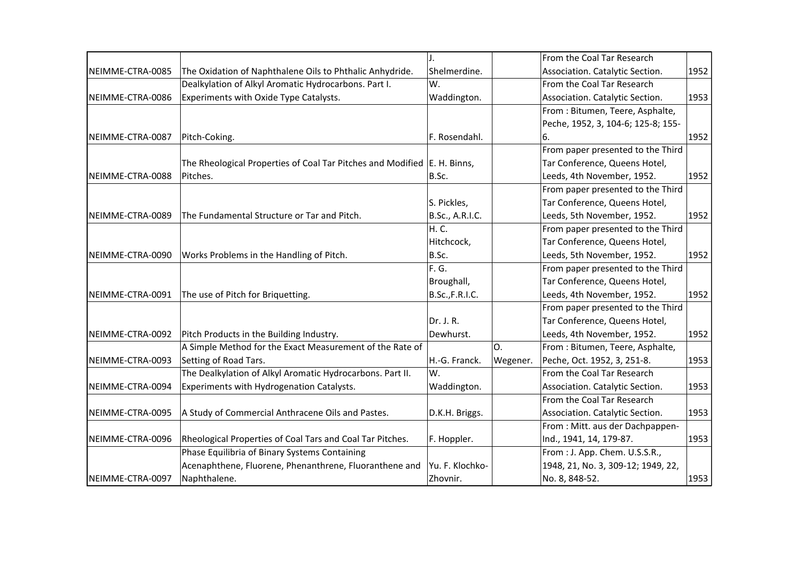|                  |                                                                          | J.                     |          | From the Coal Tar Research         |                                                                                                      |
|------------------|--------------------------------------------------------------------------|------------------------|----------|------------------------------------|------------------------------------------------------------------------------------------------------|
| NEIMME-CTRA-0085 | The Oxidation of Naphthalene Oils to Phthalic Anhydride.                 | Shelmerdine.           |          | Association. Catalytic Section.    |                                                                                                      |
|                  | Dealkylation of Alkyl Aromatic Hydrocarbons. Part I.                     | W.                     |          | From the Coal Tar Research         |                                                                                                      |
| NEIMME-CTRA-0086 | Experiments with Oxide Type Catalysts.                                   | Waddington.            |          | Association. Catalytic Section.    |                                                                                                      |
|                  |                                                                          |                        |          | From: Bitumen, Teere, Asphalte,    | 1952<br>1953<br>1952<br>1952<br>1952<br>1952<br>1952<br>1952<br>1953<br>1953<br>1953<br>1953<br>1953 |
|                  |                                                                          |                        |          | Peche, 1952, 3, 104-6; 125-8; 155- |                                                                                                      |
| NEIMME-CTRA-0087 | Pitch-Coking.                                                            | F. Rosendahl.          |          | 6.                                 |                                                                                                      |
|                  |                                                                          |                        |          | From paper presented to the Third  |                                                                                                      |
|                  | The Rheological Properties of Coal Tar Pitches and Modified E. H. Binns, |                        |          | Tar Conference, Queens Hotel,      |                                                                                                      |
| NEIMME-CTRA-0088 | Pitches.                                                                 | B.Sc.                  |          | Leeds, 4th November, 1952.         |                                                                                                      |
|                  |                                                                          |                        |          | From paper presented to the Third  |                                                                                                      |
|                  |                                                                          | S. Pickles,            |          | Tar Conference, Queens Hotel,      |                                                                                                      |
| NEIMME-CTRA-0089 | The Fundamental Structure or Tar and Pitch.                              | B.Sc., A.R.I.C.        |          | Leeds, 5th November, 1952.         |                                                                                                      |
|                  |                                                                          | H. C.                  |          | From paper presented to the Third  |                                                                                                      |
|                  |                                                                          | Hitchcock,             |          | Tar Conference, Queens Hotel,      |                                                                                                      |
| NEIMME-CTRA-0090 | Works Problems in the Handling of Pitch.                                 | B.Sc.                  |          | Leeds, 5th November, 1952.         |                                                                                                      |
|                  |                                                                          | F. G.                  |          | From paper presented to the Third  |                                                                                                      |
|                  |                                                                          | Broughall,             |          | Tar Conference, Queens Hotel,      |                                                                                                      |
| NEIMME-CTRA-0091 | The use of Pitch for Briquetting.                                        | <b>B.Sc., F.R.I.C.</b> |          | Leeds, 4th November, 1952.         |                                                                                                      |
|                  |                                                                          |                        |          | From paper presented to the Third  |                                                                                                      |
|                  |                                                                          | Dr. J. R.              |          | Tar Conference, Queens Hotel,      |                                                                                                      |
| NEIMME-CTRA-0092 | Pitch Products in the Building Industry.                                 | Dewhurst.              |          | Leeds, 4th November, 1952.         |                                                                                                      |
|                  | A Simple Method for the Exact Measurement of the Rate of                 |                        | O.       | From : Bitumen, Teere, Asphalte,   |                                                                                                      |
| NEIMME-CTRA-0093 | Setting of Road Tars.                                                    | H.-G. Franck.          | Wegener. | Peche, Oct. 1952, 3, 251-8.        |                                                                                                      |
|                  | The Dealkylation of Alkyl Aromatic Hydrocarbons. Part II.                | W.                     |          | From the Coal Tar Research         |                                                                                                      |
| NEIMME-CTRA-0094 | Experiments with Hydrogenation Catalysts.                                | Waddington.            |          | Association. Catalytic Section.    |                                                                                                      |
|                  |                                                                          |                        |          | From the Coal Tar Research         |                                                                                                      |
| NEIMME-CTRA-0095 | A Study of Commercial Anthracene Oils and Pastes.                        | D.K.H. Briggs.         |          | Association. Catalytic Section.    |                                                                                                      |
|                  |                                                                          |                        |          | From : Mitt. aus der Dachpappen-   |                                                                                                      |
| NEIMME-CTRA-0096 | Rheological Properties of Coal Tars and Coal Tar Pitches.                | F. Hoppler.            |          | Ind., 1941, 14, 179-87.            |                                                                                                      |
|                  | Phase Equilibria of Binary Systems Containing                            |                        |          | From : J. App. Chem. U.S.S.R.,     |                                                                                                      |
|                  | Acenaphthene, Fluorene, Phenanthrene, Fluoranthene and                   | Yu. F. Klochko-        |          | 1948, 21, No. 3, 309-12; 1949, 22, |                                                                                                      |
| NEIMME-CTRA-0097 | Naphthalene.                                                             | Zhovnir.               |          | No. 8, 848-52.                     |                                                                                                      |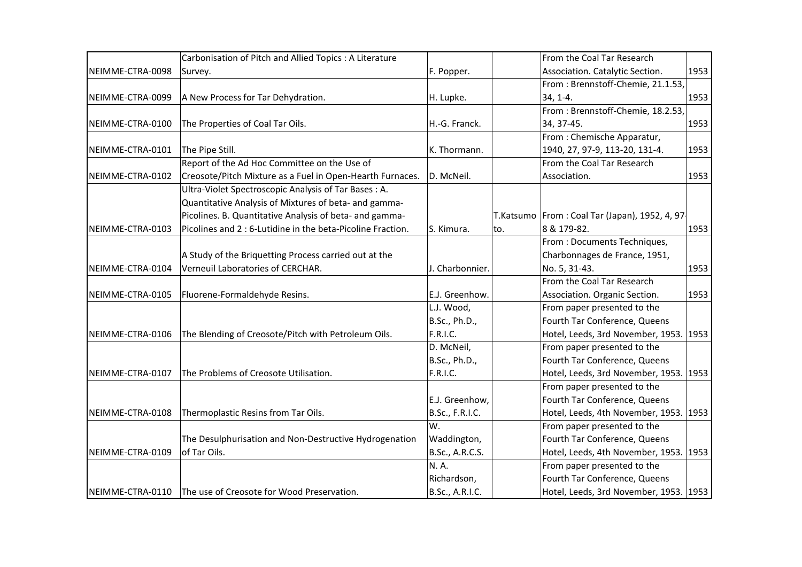|                  | Carbonisation of Pitch and Allied Topics : A Literature     |                 |     | From the Coal Tar Research                       |      |
|------------------|-------------------------------------------------------------|-----------------|-----|--------------------------------------------------|------|
| NEIMME-CTRA-0098 | Survey.                                                     | F. Popper.      |     | Association. Catalytic Section.                  | 1953 |
|                  |                                                             |                 |     | From: Brennstoff-Chemie, 21.1.53,                |      |
| NEIMME-CTRA-0099 | A New Process for Tar Dehydration.                          | H. Lupke.       |     | $34, 1-4.$                                       | 1953 |
|                  |                                                             |                 |     | From: Brennstoff-Chemie, 18.2.53,                |      |
| NEIMME-CTRA-0100 | The Properties of Coal Tar Oils.                            | H.-G. Franck.   |     | 34, 37-45.                                       | 1953 |
|                  |                                                             |                 |     | From: Chemische Apparatur,                       |      |
| NEIMME-CTRA-0101 | The Pipe Still.                                             | K. Thormann.    |     | 1940, 27, 97-9, 113-20, 131-4.                   | 1953 |
|                  | Report of the Ad Hoc Committee on the Use of                |                 |     | From the Coal Tar Research                       |      |
| NEIMME-CTRA-0102 | Creosote/Pitch Mixture as a Fuel in Open-Hearth Furnaces.   | D. McNeil.      |     | Association.                                     | 1953 |
|                  | Ultra-Violet Spectroscopic Analysis of Tar Bases: A.        |                 |     |                                                  |      |
|                  | Quantitative Analysis of Mixtures of beta- and gamma-       |                 |     |                                                  |      |
|                  | Picolines. B. Quantitative Analysis of beta- and gamma-     |                 |     | T.Katsumo   From : Coal Tar (Japan), 1952, 4, 97 |      |
| NEIMME-CTRA-0103 | Picolines and 2 : 6-Lutidine in the beta-Picoline Fraction. | S. Kimura.      | to. | 8 & 179-82.                                      | 1953 |
|                  |                                                             |                 |     | From : Documents Techniques,                     |      |
|                  | A Study of the Briquetting Process carried out at the       |                 |     | Charbonnages de France, 1951,                    |      |
| NEIMME-CTRA-0104 | Verneuil Laboratories of CERCHAR.                           | J. Charbonnier. |     | No. 5, 31-43.                                    | 1953 |
|                  |                                                             |                 |     | From the Coal Tar Research                       |      |
| NEIMME-CTRA-0105 | Fluorene-Formaldehyde Resins.                               | E.J. Greenhow.  |     | Association. Organic Section.                    | 1953 |
|                  |                                                             | L.J. Wood,      |     | From paper presented to the                      |      |
|                  |                                                             | B.Sc., Ph.D.,   |     | Fourth Tar Conference, Queens                    |      |
| NEIMME-CTRA-0106 | The Blending of Creosote/Pitch with Petroleum Oils.         | F.R.I.C.        |     | Hotel, Leeds, 3rd November, 1953. 1953           |      |
|                  |                                                             | D. McNeil,      |     | From paper presented to the                      |      |
|                  |                                                             | B.Sc., Ph.D.,   |     | Fourth Tar Conference, Queens                    |      |
| NEIMME-CTRA-0107 | The Problems of Creosote Utilisation.                       | F.R.I.C.        |     | Hotel, Leeds, 3rd November, 1953.                | 1953 |
|                  |                                                             |                 |     | From paper presented to the                      |      |
|                  |                                                             | E.J. Greenhow,  |     | Fourth Tar Conference, Queens                    |      |
| NEIMME-CTRA-0108 | Thermoplastic Resins from Tar Oils.                         | B.Sc., F.R.I.C. |     | Hotel, Leeds, 4th November, 1953.                | 1953 |
|                  |                                                             | W.              |     | From paper presented to the                      |      |
|                  | The Desulphurisation and Non-Destructive Hydrogenation      | Waddington,     |     | Fourth Tar Conference, Queens                    |      |
| NEIMME-CTRA-0109 | of Tar Oils.                                                | B.Sc., A.R.C.S. |     | Hotel, Leeds, 4th November, 1953.                | 1953 |
|                  |                                                             | N.A.            |     | From paper presented to the                      |      |
|                  |                                                             | Richardson,     |     | Fourth Tar Conference, Queens                    |      |
| NEIMME-CTRA-0110 | The use of Creosote for Wood Preservation.                  | B.Sc., A.R.I.C. |     | Hotel, Leeds, 3rd November, 1953. 1953           |      |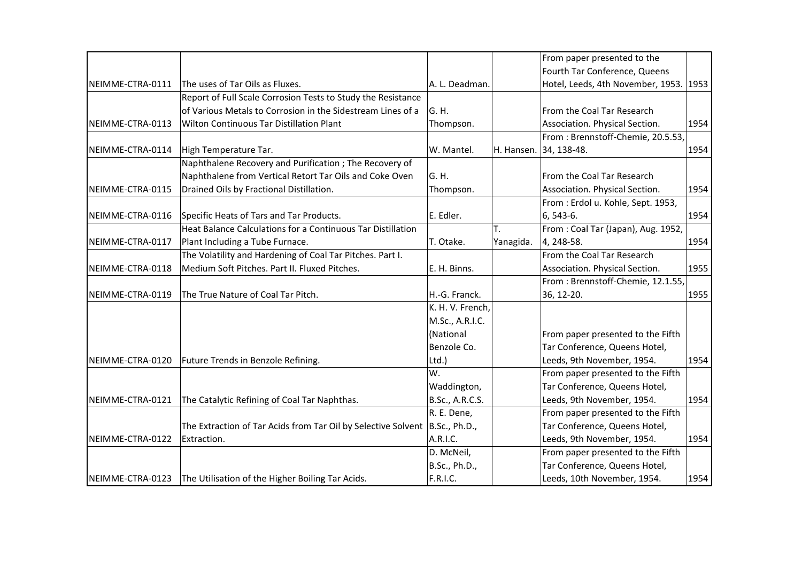|                  |                                                               |                  |            | From paper presented to the        |      |
|------------------|---------------------------------------------------------------|------------------|------------|------------------------------------|------|
|                  |                                                               |                  |            | Fourth Tar Conference, Queens      |      |
| NEIMME-CTRA-0111 | The uses of Tar Oils as Fluxes.                               | A. L. Deadman.   |            | Hotel, Leeds, 4th November, 1953.  | 1953 |
|                  | Report of Full Scale Corrosion Tests to Study the Resistance  |                  |            |                                    |      |
|                  | of Various Metals to Corrosion in the Sidestream Lines of a   | G.H.             |            | From the Coal Tar Research         |      |
| NEIMME-CTRA-0113 | Wilton Continuous Tar Distillation Plant                      | Thompson.        |            | Association. Physical Section.     | 1954 |
|                  |                                                               |                  |            | From: Brennstoff-Chemie, 20.5.53,  |      |
| NEIMME-CTRA-0114 | High Temperature Tar.                                         | W. Mantel.       | H. Hansen. | 34, 138-48.                        | 1954 |
|                  | Naphthalene Recovery and Purification ; The Recovery of       |                  |            |                                    |      |
|                  | Naphthalene from Vertical Retort Tar Oils and Coke Oven       | G.H.             |            | From the Coal Tar Research         |      |
| NEIMME-CTRA-0115 | Drained Oils by Fractional Distillation.                      | Thompson.        |            | Association. Physical Section.     | 1954 |
|                  |                                                               |                  |            | From: Erdol u. Kohle, Sept. 1953,  |      |
| NEIMME-CTRA-0116 | Specific Heats of Tars and Tar Products.                      | E. Edler.        |            | 6, 543-6.                          | 1954 |
|                  | Heat Balance Calculations for a Continuous Tar Distillation   |                  | T.         | From: Coal Tar (Japan), Aug. 1952, |      |
| NEIMME-CTRA-0117 | Plant Including a Tube Furnace.                               | T. Otake.        | Yanagida.  | 4, 248-58.                         | 1954 |
|                  | The Volatility and Hardening of Coal Tar Pitches. Part I.     |                  |            | From the Coal Tar Research         |      |
| NEIMME-CTRA-0118 | Medium Soft Pitches. Part II. Fluxed Pitches.                 | E. H. Binns.     |            | Association. Physical Section.     | 1955 |
|                  |                                                               |                  |            | From: Brennstoff-Chemie, 12.1.55,  |      |
| NEIMME-CTRA-0119 | The True Nature of Coal Tar Pitch.                            | H.-G. Franck.    |            | 36, 12-20.                         | 1955 |
|                  |                                                               | K. H. V. French, |            |                                    |      |
|                  |                                                               | M.Sc., A.R.I.C.  |            |                                    |      |
|                  |                                                               | (National        |            | From paper presented to the Fifth  |      |
|                  |                                                               | Benzole Co.      |            | Tar Conference, Queens Hotel,      |      |
| NEIMME-CTRA-0120 | Future Trends in Benzole Refining.                            | Ltd.)            |            | Leeds, 9th November, 1954.         | 1954 |
|                  |                                                               | W.               |            | From paper presented to the Fifth  |      |
|                  |                                                               | Waddington,      |            | Tar Conference, Queens Hotel,      |      |
| NEIMME-CTRA-0121 | The Catalytic Refining of Coal Tar Naphthas.                  | B.Sc., A.R.C.S.  |            | Leeds, 9th November, 1954.         | 1954 |
|                  |                                                               | R. E. Dene,      |            | From paper presented to the Fifth  |      |
|                  | The Extraction of Tar Acids from Tar Oil by Selective Solvent | B.Sc., Ph.D.,    |            | Tar Conference, Queens Hotel,      |      |
| NEIMME-CTRA-0122 | Extraction.                                                   | A.R.I.C.         |            | Leeds, 9th November, 1954.         | 1954 |
|                  |                                                               | D. McNeil,       |            | From paper presented to the Fifth  |      |
|                  |                                                               | B.Sc., Ph.D.,    |            | Tar Conference, Queens Hotel,      |      |
| NEIMME-CTRA-0123 | The Utilisation of the Higher Boiling Tar Acids.              | F.R.I.C.         |            | Leeds, 10th November, 1954.        | 1954 |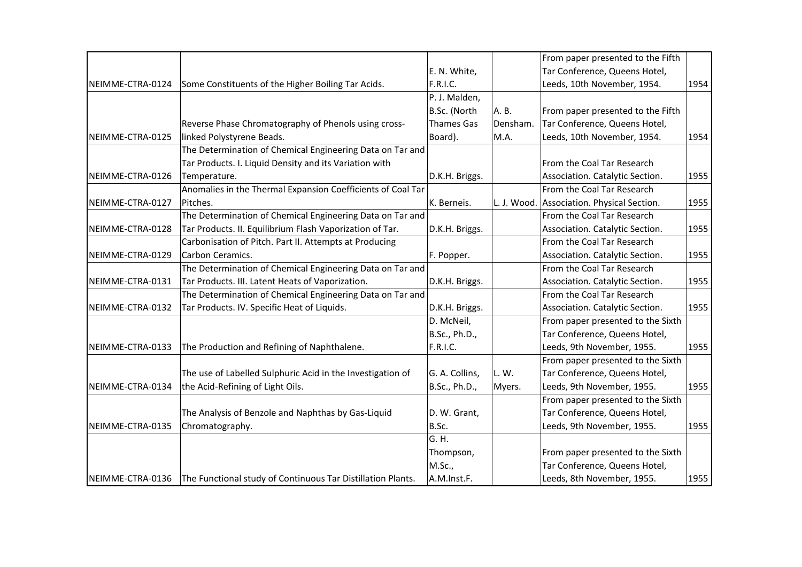|                  |                                                                                |                   |          | From paper presented to the Fifth          |      |
|------------------|--------------------------------------------------------------------------------|-------------------|----------|--------------------------------------------|------|
|                  |                                                                                | E. N. White,      |          | Tar Conference, Queens Hotel,              |      |
| NEIMME-CTRA-0124 | Some Constituents of the Higher Boiling Tar Acids.                             | F.R.I.C.          |          | Leeds, 10th November, 1954.                | 1954 |
|                  |                                                                                | P. J. Malden,     |          |                                            |      |
|                  |                                                                                | B.Sc. (North      | A. B.    | From paper presented to the Fifth          |      |
|                  | Reverse Phase Chromatography of Phenols using cross-                           | <b>Thames Gas</b> | Densham. | Tar Conference, Queens Hotel,              |      |
| NEIMME-CTRA-0125 | linked Polystyrene Beads.                                                      | Board).           | M.A.     | Leeds, 10th November, 1954.                | 1954 |
|                  | The Determination of Chemical Engineering Data on Tar and                      |                   |          |                                            |      |
|                  | Tar Products. I. Liquid Density and its Variation with                         |                   |          | From the Coal Tar Research                 |      |
| NEIMME-CTRA-0126 | Temperature.                                                                   | D.K.H. Briggs.    |          | Association. Catalytic Section.            | 1955 |
|                  | Anomalies in the Thermal Expansion Coefficients of Coal Tar                    |                   |          | From the Coal Tar Research                 |      |
| NEIMME-CTRA-0127 | Pitches.                                                                       | K. Berneis.       |          | L. J. Wood. Association. Physical Section. | 1955 |
|                  | The Determination of Chemical Engineering Data on Tar and                      |                   |          | From the Coal Tar Research                 |      |
| NEIMME-CTRA-0128 | Tar Products. II. Equilibrium Flash Vaporization of Tar.                       | D.K.H. Briggs.    |          | Association. Catalytic Section.            | 1955 |
|                  | Carbonisation of Pitch. Part II. Attempts at Producing                         |                   |          | From the Coal Tar Research                 |      |
| NEIMME-CTRA-0129 | Carbon Ceramics.                                                               | F. Popper.        |          | Association. Catalytic Section.            | 1955 |
|                  | The Determination of Chemical Engineering Data on Tar and                      |                   |          | From the Coal Tar Research                 |      |
| NEIMME-CTRA-0131 | Tar Products. III. Latent Heats of Vaporization.                               | D.K.H. Briggs.    |          | Association. Catalytic Section.            | 1955 |
|                  | The Determination of Chemical Engineering Data on Tar and                      |                   |          | From the Coal Tar Research                 |      |
| NEIMME-CTRA-0132 | Tar Products. IV. Specific Heat of Liquids.                                    | D.K.H. Briggs.    |          | Association. Catalytic Section.            | 1955 |
|                  |                                                                                | D. McNeil,        |          | From paper presented to the Sixth          |      |
|                  |                                                                                | B.Sc., Ph.D.,     |          | Tar Conference, Queens Hotel,              |      |
| NEIMME-CTRA-0133 | The Production and Refining of Naphthalene.                                    | F.R.I.C.          |          | Leeds, 9th November, 1955.                 | 1955 |
|                  |                                                                                |                   |          | From paper presented to the Sixth          |      |
|                  | The use of Labelled Sulphuric Acid in the Investigation of                     | G. A. Collins,    | L.W.     | Tar Conference, Queens Hotel,              |      |
| NEIMME-CTRA-0134 | the Acid-Refining of Light Oils.                                               | B.Sc., Ph.D.,     | Myers.   | Leeds, 9th November, 1955.                 | 1955 |
|                  |                                                                                |                   |          | From paper presented to the Sixth          |      |
|                  | The Analysis of Benzole and Naphthas by Gas-Liquid                             | D. W. Grant,      |          | Tar Conference, Queens Hotel,              |      |
| NEIMME-CTRA-0135 | Chromatography.                                                                | B.Sc.             |          | Leeds, 9th November, 1955.                 | 1955 |
|                  |                                                                                | G. H.             |          |                                            |      |
|                  |                                                                                | Thompson,         |          | From paper presented to the Sixth          |      |
|                  |                                                                                | M.Sc.,            |          | Tar Conference, Queens Hotel,              |      |
|                  | NEIMME-CTRA-0136   The Functional study of Continuous Tar Distillation Plants. | A.M.Inst.F.       |          | Leeds, 8th November, 1955.                 | 1955 |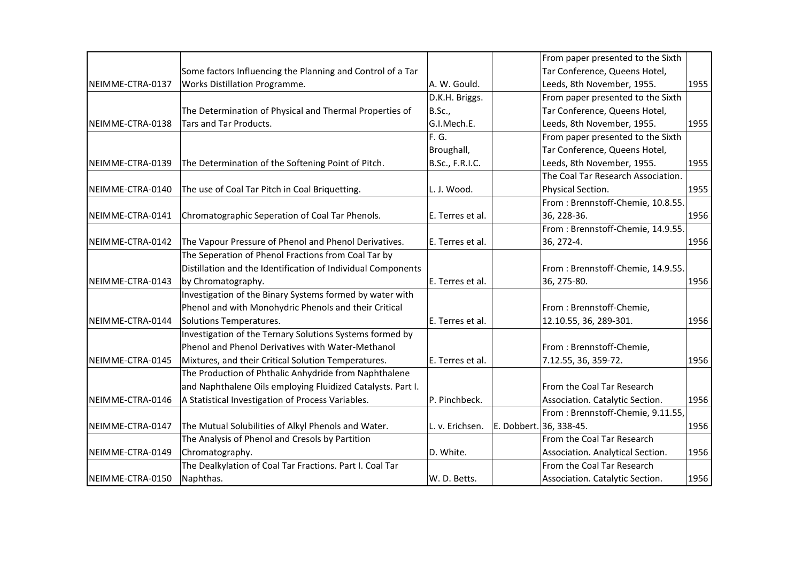|                   |                                                              |                        |                         | From paper presented to the Sixth  |      |
|-------------------|--------------------------------------------------------------|------------------------|-------------------------|------------------------------------|------|
|                   | Some factors Influencing the Planning and Control of a Tar   |                        |                         | Tar Conference, Queens Hotel,      |      |
| NEIMME-CTRA-0137  | Works Distillation Programme.                                | A. W. Gould.           |                         | Leeds, 8th November, 1955.         | 1955 |
|                   |                                                              | D.K.H. Briggs.         |                         | From paper presented to the Sixth  |      |
|                   | The Determination of Physical and Thermal Properties of      | B.Sc.,                 |                         | Tar Conference, Queens Hotel,      |      |
| NEIMME-CTRA-0138  | Tars and Tar Products.                                       | G.I.Mech.E.            |                         | Leeds, 8th November, 1955.         | 1955 |
|                   |                                                              | F.G.                   |                         | From paper presented to the Sixth  |      |
|                   |                                                              | Broughall,             |                         | Tar Conference, Queens Hotel,      |      |
| INEIMME-CTRA-0139 | The Determination of the Softening Point of Pitch.           | <b>B.Sc., F.R.I.C.</b> |                         | Leeds, 8th November, 1955.         | 1955 |
|                   |                                                              |                        |                         | The Coal Tar Research Association. |      |
| NEIMME-CTRA-0140  | The use of Coal Tar Pitch in Coal Briquetting.               | L. J. Wood.            |                         | Physical Section.                  | 1955 |
|                   |                                                              |                        |                         | From: Brennstoff-Chemie, 10.8.55.  |      |
| NEIMME-CTRA-0141  | Chromatographic Seperation of Coal Tar Phenols.              | E. Terres et al.       |                         | 36, 228-36.                        | 1956 |
|                   |                                                              |                        |                         | From: Brennstoff-Chemie, 14.9.55.  |      |
| NEIMME-CTRA-0142  | The Vapour Pressure of Phenol and Phenol Derivatives.        | E. Terres et al.       |                         | 36, 272-4.                         | 1956 |
|                   | The Seperation of Phenol Fractions from Coal Tar by          |                        |                         |                                    |      |
|                   | Distillation and the Identification of Individual Components |                        |                         | From: Brennstoff-Chemie, 14.9.55.  |      |
| NEIMME-CTRA-0143  | by Chromatography.                                           | E. Terres et al.       |                         | 36, 275-80.                        | 1956 |
|                   | Investigation of the Binary Systems formed by water with     |                        |                         |                                    |      |
|                   | Phenol and with Monohydric Phenols and their Critical        |                        |                         | From: Brennstoff-Chemie,           |      |
| NEIMME-CTRA-0144  | Solutions Temperatures.                                      | E. Terres et al.       |                         | 12.10.55, 36, 289-301.             | 1956 |
|                   | Investigation of the Ternary Solutions Systems formed by     |                        |                         |                                    |      |
|                   | Phenol and Phenol Derivatives with Water-Methanol            |                        |                         | From: Brennstoff-Chemie,           |      |
| NEIMME-CTRA-0145  | Mixtures, and their Critical Solution Temperatures.          | E. Terres et al.       |                         | 7.12.55, 36, 359-72.               | 1956 |
|                   | The Production of Phthalic Anhydride from Naphthalene        |                        |                         |                                    |      |
|                   | and Naphthalene Oils employing Fluidized Catalysts. Part I.  |                        |                         | From the Coal Tar Research         |      |
| NEIMME-CTRA-0146  | A Statistical Investigation of Process Variables.            | P. Pinchbeck.          |                         | Association. Catalytic Section.    | 1956 |
|                   |                                                              |                        |                         | From: Brennstoff-Chemie, 9.11.55,  |      |
| NEIMME-CTRA-0147  | The Mutual Solubilities of Alkyl Phenols and Water.          | L. v. Erichsen.        | E. Dobbert. 36, 338-45. |                                    | 1956 |
|                   | The Analysis of Phenol and Cresols by Partition              |                        |                         | From the Coal Tar Research         |      |
| NEIMME-CTRA-0149  | Chromatography.                                              | D. White.              |                         | Association. Analytical Section.   | 1956 |
|                   | The Dealkylation of Coal Tar Fractions. Part I. Coal Tar     |                        |                         | From the Coal Tar Research         |      |
| NEIMME-CTRA-0150  | Naphthas.                                                    | W. D. Betts.           |                         | Association. Catalytic Section.    | 1956 |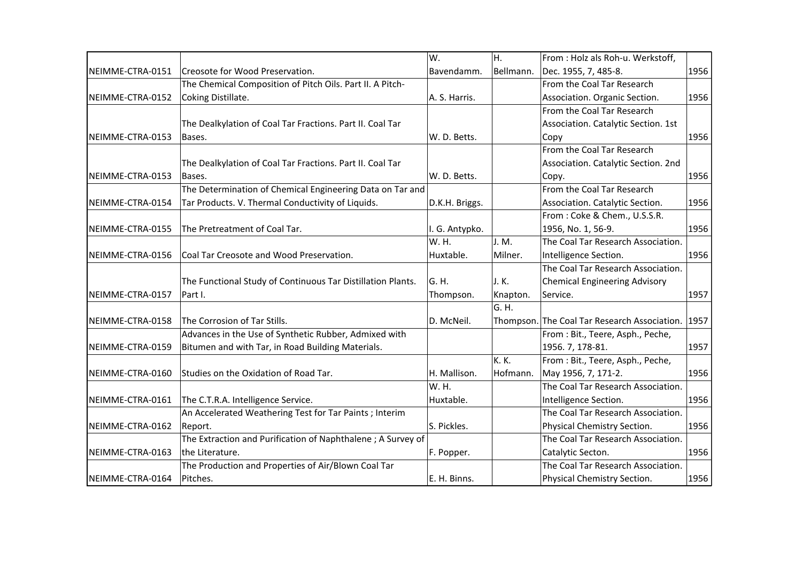|                  |                                                             | W.             | H.        | From: Holz als Roh-u. Werkstoff,                                                                                                                                                                                                                                                                                                                                                                                                                                                                                                                                                                                                                                                                                                                                                                                                                 |              |
|------------------|-------------------------------------------------------------|----------------|-----------|--------------------------------------------------------------------------------------------------------------------------------------------------------------------------------------------------------------------------------------------------------------------------------------------------------------------------------------------------------------------------------------------------------------------------------------------------------------------------------------------------------------------------------------------------------------------------------------------------------------------------------------------------------------------------------------------------------------------------------------------------------------------------------------------------------------------------------------------------|--------------|
| NEIMME-CTRA-0151 | Creosote for Wood Preservation.                             | Bavendamm.     | Bellmann. |                                                                                                                                                                                                                                                                                                                                                                                                                                                                                                                                                                                                                                                                                                                                                                                                                                                  |              |
|                  | The Chemical Composition of Pitch Oils. Part II. A Pitch-   |                |           | From the Coal Tar Research                                                                                                                                                                                                                                                                                                                                                                                                                                                                                                                                                                                                                                                                                                                                                                                                                       |              |
| NEIMME-CTRA-0152 | Coking Distillate.                                          | A. S. Harris.  |           | Association. Organic Section.                                                                                                                                                                                                                                                                                                                                                                                                                                                                                                                                                                                                                                                                                                                                                                                                                    |              |
|                  |                                                             |                |           | From the Coal Tar Research                                                                                                                                                                                                                                                                                                                                                                                                                                                                                                                                                                                                                                                                                                                                                                                                                       |              |
|                  | The Dealkylation of Coal Tar Fractions. Part II. Coal Tar   |                |           | Association. Catalytic Section. 1st                                                                                                                                                                                                                                                                                                                                                                                                                                                                                                                                                                                                                                                                                                                                                                                                              |              |
| NEIMME-CTRA-0153 | Bases.                                                      | W. D. Betts.   |           | Dec. 1955, 7, 485-8.<br>1956<br>1956<br>1956<br>Copy<br>From the Coal Tar Research<br>Association. Catalytic Section. 2nd<br>1956<br>Copy.<br>From the Coal Tar Research<br>Association. Catalytic Section.<br>1956<br>From: Coke & Chem., U.S.S.R.<br>1956, No. 1, 56-9.<br>1956<br>The Coal Tar Research Association.<br>Intelligence Section.<br>1956<br>The Coal Tar Research Association.<br><b>Chemical Engineering Advisory</b><br>1957<br>Service.<br>Thompson. The Coal Tar Research Association.<br>1957<br>From : Bit., Teere, Asph., Peche,<br>1956. 7, 178-81.<br>1957<br>From: Bit., Teere, Asph., Peche,<br>May 1956, 7, 171-2.<br>1956<br>The Coal Tar Research Association.<br>Intelligence Section.<br>1956<br>The Coal Tar Research Association.<br>1956<br>Physical Chemistry Section.<br>The Coal Tar Research Association. |              |
|                  |                                                             |                |           |                                                                                                                                                                                                                                                                                                                                                                                                                                                                                                                                                                                                                                                                                                                                                                                                                                                  | 1956<br>1956 |
|                  | The Dealkylation of Coal Tar Fractions. Part II. Coal Tar   |                |           |                                                                                                                                                                                                                                                                                                                                                                                                                                                                                                                                                                                                                                                                                                                                                                                                                                                  |              |
| NEIMME-CTRA-0153 | Bases.                                                      | W. D. Betts.   |           |                                                                                                                                                                                                                                                                                                                                                                                                                                                                                                                                                                                                                                                                                                                                                                                                                                                  |              |
|                  | The Determination of Chemical Engineering Data on Tar and   |                |           |                                                                                                                                                                                                                                                                                                                                                                                                                                                                                                                                                                                                                                                                                                                                                                                                                                                  |              |
| NEIMME-CTRA-0154 | Tar Products. V. Thermal Conductivity of Liquids.           | D.K.H. Briggs. |           |                                                                                                                                                                                                                                                                                                                                                                                                                                                                                                                                                                                                                                                                                                                                                                                                                                                  |              |
|                  |                                                             |                |           |                                                                                                                                                                                                                                                                                                                                                                                                                                                                                                                                                                                                                                                                                                                                                                                                                                                  |              |
| NEIMME-CTRA-0155 | The Pretreatment of Coal Tar.                               | I. G. Antypko. |           |                                                                                                                                                                                                                                                                                                                                                                                                                                                                                                                                                                                                                                                                                                                                                                                                                                                  |              |
|                  |                                                             | W. H.          | J. M.     |                                                                                                                                                                                                                                                                                                                                                                                                                                                                                                                                                                                                                                                                                                                                                                                                                                                  |              |
| NEIMME-CTRA-0156 | Coal Tar Creosote and Wood Preservation.                    | Huxtable.      | Milner.   |                                                                                                                                                                                                                                                                                                                                                                                                                                                                                                                                                                                                                                                                                                                                                                                                                                                  |              |
|                  |                                                             |                |           |                                                                                                                                                                                                                                                                                                                                                                                                                                                                                                                                                                                                                                                                                                                                                                                                                                                  |              |
|                  | The Functional Study of Continuous Tar Distillation Plants. | G. H.          | J.K.      |                                                                                                                                                                                                                                                                                                                                                                                                                                                                                                                                                                                                                                                                                                                                                                                                                                                  |              |
| NEIMME-CTRA-0157 | Part I.                                                     | Thompson.      | Knapton.  |                                                                                                                                                                                                                                                                                                                                                                                                                                                                                                                                                                                                                                                                                                                                                                                                                                                  |              |
|                  |                                                             |                | G. H.     |                                                                                                                                                                                                                                                                                                                                                                                                                                                                                                                                                                                                                                                                                                                                                                                                                                                  |              |
| NEIMME-CTRA-0158 | The Corrosion of Tar Stills.                                | D. McNeil.     |           |                                                                                                                                                                                                                                                                                                                                                                                                                                                                                                                                                                                                                                                                                                                                                                                                                                                  |              |
|                  | Advances in the Use of Synthetic Rubber, Admixed with       |                |           |                                                                                                                                                                                                                                                                                                                                                                                                                                                                                                                                                                                                                                                                                                                                                                                                                                                  |              |
| NEIMME-CTRA-0159 | Bitumen and with Tar, in Road Building Materials.           |                |           |                                                                                                                                                                                                                                                                                                                                                                                                                                                                                                                                                                                                                                                                                                                                                                                                                                                  |              |
|                  |                                                             |                | K. K.     |                                                                                                                                                                                                                                                                                                                                                                                                                                                                                                                                                                                                                                                                                                                                                                                                                                                  |              |
| NEIMME-CTRA-0160 | Studies on the Oxidation of Road Tar.                       | H. Mallison.   | Hofmann.  |                                                                                                                                                                                                                                                                                                                                                                                                                                                                                                                                                                                                                                                                                                                                                                                                                                                  |              |
|                  |                                                             | W. H.          |           |                                                                                                                                                                                                                                                                                                                                                                                                                                                                                                                                                                                                                                                                                                                                                                                                                                                  |              |
| NEIMME-CTRA-0161 | The C.T.R.A. Intelligence Service.                          | Huxtable.      |           |                                                                                                                                                                                                                                                                                                                                                                                                                                                                                                                                                                                                                                                                                                                                                                                                                                                  |              |
|                  | An Accelerated Weathering Test for Tar Paints; Interim      |                |           |                                                                                                                                                                                                                                                                                                                                                                                                                                                                                                                                                                                                                                                                                                                                                                                                                                                  |              |
| NEIMME-CTRA-0162 | Report.                                                     | S. Pickles.    |           |                                                                                                                                                                                                                                                                                                                                                                                                                                                                                                                                                                                                                                                                                                                                                                                                                                                  |              |
|                  | The Extraction and Purification of Naphthalene; A Survey of |                |           |                                                                                                                                                                                                                                                                                                                                                                                                                                                                                                                                                                                                                                                                                                                                                                                                                                                  |              |
| NEIMME-CTRA-0163 | the Literature.                                             | F. Popper.     |           | Catalytic Secton.                                                                                                                                                                                                                                                                                                                                                                                                                                                                                                                                                                                                                                                                                                                                                                                                                                |              |
|                  | The Production and Properties of Air/Blown Coal Tar         |                |           | The Coal Tar Research Association.                                                                                                                                                                                                                                                                                                                                                                                                                                                                                                                                                                                                                                                                                                                                                                                                               |              |
| NEIMME-CTRA-0164 | Pitches.                                                    | E. H. Binns.   |           | Physical Chemistry Section.                                                                                                                                                                                                                                                                                                                                                                                                                                                                                                                                                                                                                                                                                                                                                                                                                      |              |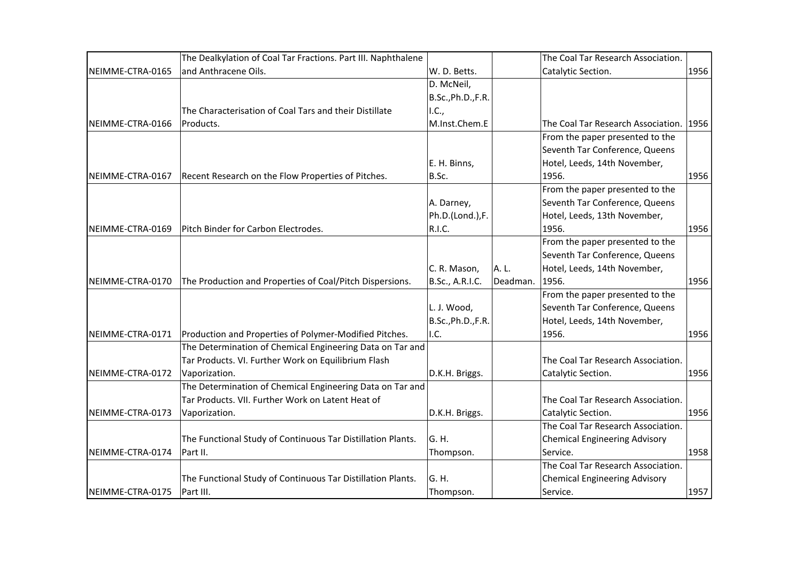|                  | The Dealkylation of Coal Tar Fractions. Part III. Naphthalene |                    |          | The Coal Tar Research Association.      |      |
|------------------|---------------------------------------------------------------|--------------------|----------|-----------------------------------------|------|
| NEIMME-CTRA-0165 | and Anthracene Oils.                                          | W. D. Betts.       |          | Catalytic Section.                      | 1956 |
|                  |                                                               | D. McNeil,         |          |                                         |      |
|                  |                                                               | B.Sc., Ph.D., F.R. |          |                                         |      |
|                  | The Characterisation of Coal Tars and their Distillate        | I.C.,              |          |                                         |      |
| NEIMME-CTRA-0166 | Products.                                                     | M.Inst.Chem.E      |          | The Coal Tar Research Association. 1956 |      |
|                  |                                                               |                    |          | From the paper presented to the         |      |
|                  |                                                               |                    |          | Seventh Tar Conference, Queens          |      |
|                  |                                                               | E. H. Binns,       |          | Hotel, Leeds, 14th November,            |      |
| NEIMME-CTRA-0167 | Recent Research on the Flow Properties of Pitches.            | B.Sc.              |          | 1956.                                   | 1956 |
|                  |                                                               |                    |          | From the paper presented to the         |      |
|                  |                                                               | A. Darney,         |          | Seventh Tar Conference, Queens          |      |
|                  |                                                               | Ph.D.(Lond.),F.    |          | Hotel, Leeds, 13th November,            |      |
| NEIMME-CTRA-0169 | Pitch Binder for Carbon Electrodes.                           | R.I.C.             |          | 1956.                                   | 1956 |
|                  |                                                               |                    |          | From the paper presented to the         |      |
|                  |                                                               |                    |          | Seventh Tar Conference, Queens          |      |
|                  |                                                               | C. R. Mason,       | A. L.    | Hotel, Leeds, 14th November,            |      |
| NEIMME-CTRA-0170 | The Production and Properties of Coal/Pitch Dispersions.      | B.Sc., A.R.I.C.    | Deadman. | 1956.                                   | 1956 |
|                  |                                                               |                    |          | From the paper presented to the         |      |
|                  |                                                               | L. J. Wood,        |          | Seventh Tar Conference, Queens          |      |
|                  |                                                               | B.Sc., Ph.D., F.R. |          | Hotel, Leeds, 14th November,            |      |
| NEIMME-CTRA-0171 | Production and Properties of Polymer-Modified Pitches.        | II.C.              |          | 1956.                                   | 1956 |
|                  | The Determination of Chemical Engineering Data on Tar and     |                    |          |                                         |      |
|                  | Tar Products. VI. Further Work on Equilibrium Flash           |                    |          | The Coal Tar Research Association.      |      |
| NEIMME-CTRA-0172 | Vaporization.                                                 | D.K.H. Briggs.     |          | Catalytic Section.                      | 1956 |
|                  | The Determination of Chemical Engineering Data on Tar and     |                    |          |                                         |      |
|                  | Tar Products. VII. Further Work on Latent Heat of             |                    |          | The Coal Tar Research Association.      |      |
| NEIMME-CTRA-0173 | Vaporization.                                                 | D.K.H. Briggs.     |          | Catalytic Section.                      | 1956 |
|                  |                                                               |                    |          | The Coal Tar Research Association.      |      |
|                  | The Functional Study of Continuous Tar Distillation Plants.   | G.H.               |          | <b>Chemical Engineering Advisory</b>    |      |
| NEIMME-CTRA-0174 | Part II.                                                      | Thompson.          |          | Service.                                | 1958 |
|                  |                                                               |                    |          | The Coal Tar Research Association.      |      |
|                  | The Functional Study of Continuous Tar Distillation Plants.   | G.H.               |          | <b>Chemical Engineering Advisory</b>    |      |
| NEIMME-CTRA-0175 | Part III.                                                     | Thompson.          |          | Service.                                | 1957 |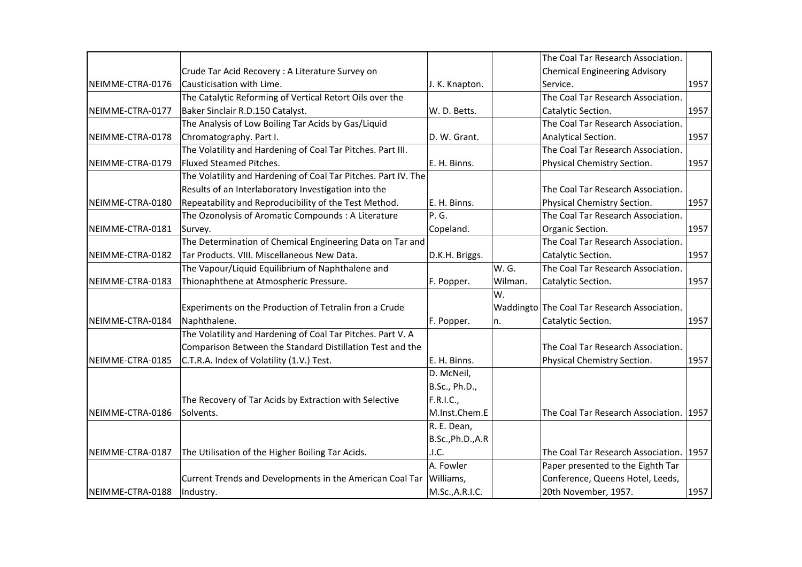|                  |                                                                |                   |         | The Coal Tar Research Association.           |      |
|------------------|----------------------------------------------------------------|-------------------|---------|----------------------------------------------|------|
|                  | Crude Tar Acid Recovery: A Literature Survey on                |                   |         | <b>Chemical Engineering Advisory</b>         |      |
| NEIMME-CTRA-0176 | Causticisation with Lime.                                      | J. K. Knapton.    |         | Service.                                     | 1957 |
|                  | The Catalytic Reforming of Vertical Retort Oils over the       |                   |         | The Coal Tar Research Association.           |      |
| NEIMME-CTRA-0177 | Baker Sinclair R.D.150 Catalyst.                               | W. D. Betts.      |         | Catalytic Section.                           | 1957 |
|                  | The Analysis of Low Boiling Tar Acids by Gas/Liquid            |                   |         | The Coal Tar Research Association.           |      |
| NEIMME-CTRA-0178 | Chromatography. Part I.                                        | D. W. Grant.      |         | Analytical Section.                          | 1957 |
|                  | The Volatility and Hardening of Coal Tar Pitches. Part III.    |                   |         | The Coal Tar Research Association.           |      |
| NEIMME-CTRA-0179 | Fluxed Steamed Pitches.                                        | E. H. Binns.      |         | Physical Chemistry Section.                  | 1957 |
|                  | The Volatility and Hardening of Coal Tar Pitches. Part IV. The |                   |         |                                              |      |
|                  | Results of an Interlaboratory Investigation into the           |                   |         | The Coal Tar Research Association.           |      |
| NEIMME-CTRA-0180 | Repeatability and Reproducibility of the Test Method.          | E. H. Binns.      |         | Physical Chemistry Section.                  | 1957 |
|                  | The Ozonolysis of Aromatic Compounds : A Literature            | P. G.             |         | The Coal Tar Research Association.           |      |
| NEIMME-CTRA-0181 | Survey.                                                        | Copeland.         |         | Organic Section.                             | 1957 |
|                  | The Determination of Chemical Engineering Data on Tar and      |                   |         | The Coal Tar Research Association.           |      |
| NEIMME-CTRA-0182 | Tar Products. VIII. Miscellaneous New Data.                    | D.K.H. Briggs.    |         | Catalytic Section.                           | 1957 |
|                  | The Vapour/Liquid Equilibrium of Naphthalene and               |                   | W. G.   | The Coal Tar Research Association.           |      |
| NEIMME-CTRA-0183 | Thionaphthene at Atmospheric Pressure.                         | F. Popper.        | Wilman. | Catalytic Section.                           | 1957 |
|                  |                                                                |                   | W.      |                                              |      |
|                  | Experiments on the Production of Tetralin fron a Crude         |                   |         | Waddingto The Coal Tar Research Association. |      |
| NEIMME-CTRA-0184 | Naphthalene.                                                   | F. Popper.        | n.      | Catalytic Section.                           | 1957 |
|                  | The Volatility and Hardening of Coal Tar Pitches. Part V. A    |                   |         |                                              |      |
|                  | Comparison Between the Standard Distillation Test and the      |                   |         | The Coal Tar Research Association.           |      |
| NEIMME-CTRA-0185 | C.T.R.A. Index of Volatility (1.V.) Test.                      | E. H. Binns.      |         | Physical Chemistry Section.                  | 1957 |
|                  |                                                                | D. McNeil,        |         |                                              |      |
|                  |                                                                | B.Sc., Ph.D.,     |         |                                              |      |
|                  | The Recovery of Tar Acids by Extraction with Selective         | F.R.I.C.,         |         |                                              |      |
| NEIMME-CTRA-0186 | Solvents.                                                      | M.Inst.Chem.E     |         | The Coal Tar Research Association.           | 1957 |
|                  |                                                                | R. E. Dean,       |         |                                              |      |
|                  |                                                                | B.Sc., Ph.D., A.R |         |                                              |      |
| NEIMME-CTRA-0187 | The Utilisation of the Higher Boiling Tar Acids.               | .1.C.             |         | The Coal Tar Research Association.           | 1957 |
|                  |                                                                | A. Fowler         |         | Paper presented to the Eighth Tar            |      |
|                  | Current Trends and Developments in the American Coal Tar       | Williams,         |         | Conference, Queens Hotel, Leeds,             |      |
| NEIMME-CTRA-0188 | Industry.                                                      | M.Sc., A.R.I.C.   |         | 20th November, 1957.                         | 1957 |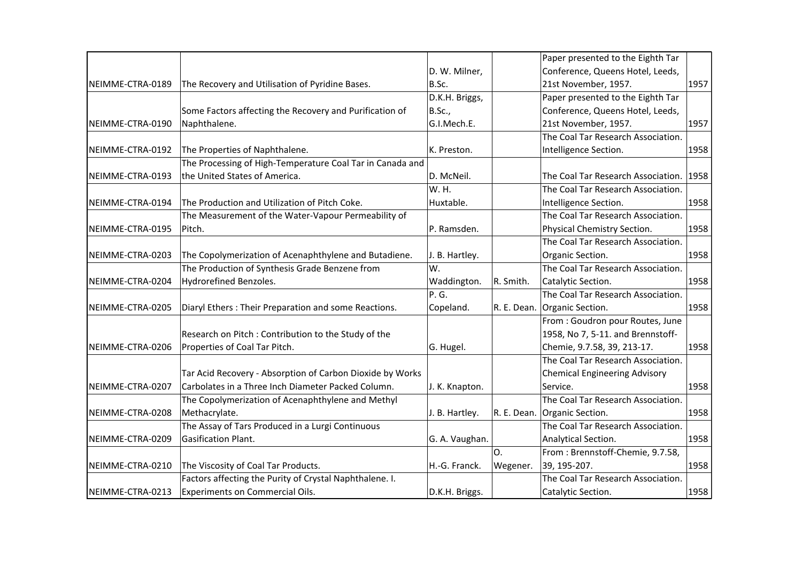|                  |                                                           |                |             | Paper presented to the Eighth Tar    |      |
|------------------|-----------------------------------------------------------|----------------|-------------|--------------------------------------|------|
|                  |                                                           | D. W. Milner,  |             | Conference, Queens Hotel, Leeds,     |      |
| NEIMME-CTRA-0189 | The Recovery and Utilisation of Pyridine Bases.           | B.Sc.          |             | 21st November, 1957.                 | 1957 |
|                  |                                                           | D.K.H. Briggs, |             | Paper presented to the Eighth Tar    |      |
|                  | Some Factors affecting the Recovery and Purification of   | B.Sc.,         |             | Conference, Queens Hotel, Leeds,     |      |
| NEIMME-CTRA-0190 | Naphthalene.                                              | G.I.Mech.E.    |             | 21st November, 1957.                 | 1957 |
|                  |                                                           |                |             | The Coal Tar Research Association.   |      |
| NEIMME-CTRA-0192 | The Properties of Naphthalene.                            | K. Preston.    |             | Intelligence Section.                | 1958 |
|                  | The Processing of High-Temperature Coal Tar in Canada and |                |             |                                      |      |
| NEIMME-CTRA-0193 | the United States of America.                             | D. McNeil.     |             | The Coal Tar Research Association.   | 1958 |
|                  |                                                           | W. H.          |             | The Coal Tar Research Association.   |      |
| NEIMME-CTRA-0194 | The Production and Utilization of Pitch Coke.             | Huxtable.      |             | Intelligence Section.                | 1958 |
|                  | The Measurement of the Water-Vapour Permeability of       |                |             | The Coal Tar Research Association.   |      |
| NEIMME-CTRA-0195 | Pitch.                                                    | P. Ramsden.    |             | Physical Chemistry Section.          | 1958 |
|                  |                                                           |                |             | The Coal Tar Research Association.   |      |
| NEIMME-CTRA-0203 | The Copolymerization of Acenaphthylene and Butadiene.     | J. B. Hartley. |             | Organic Section.                     | 1958 |
|                  | The Production of Synthesis Grade Benzene from            | W.             |             | The Coal Tar Research Association.   |      |
| NEIMME-CTRA-0204 | Hydrorefined Benzoles.                                    | Waddington.    | R. Smith.   | Catalytic Section.                   | 1958 |
|                  |                                                           | P.G.           |             | The Coal Tar Research Association.   |      |
| NEIMME-CTRA-0205 | Diaryl Ethers: Their Preparation and some Reactions.      | Copeland.      | R. E. Dean. | Organic Section.                     | 1958 |
|                  |                                                           |                |             | From: Goudron pour Routes, June      |      |
|                  | Research on Pitch: Contribution to the Study of the       |                |             | 1958, No 7, 5-11. and Brennstoff-    |      |
| NEIMME-CTRA-0206 | Properties of Coal Tar Pitch.                             | G. Hugel.      |             | Chemie, 9.7.58, 39, 213-17.          | 1958 |
|                  |                                                           |                |             | The Coal Tar Research Association.   |      |
|                  | Tar Acid Recovery - Absorption of Carbon Dioxide by Works |                |             | <b>Chemical Engineering Advisory</b> |      |
| NEIMME-CTRA-0207 | Carbolates in a Three Inch Diameter Packed Column.        | J. K. Knapton. |             | Service.                             | 1958 |
|                  | The Copolymerization of Acenaphthylene and Methyl         |                |             | The Coal Tar Research Association.   |      |
| NEIMME-CTRA-0208 | Methacrylate.                                             | J. B. Hartley. | R. E. Dean. | Organic Section.                     | 1958 |
|                  | The Assay of Tars Produced in a Lurgi Continuous          |                |             | The Coal Tar Research Association.   |      |
| NEIMME-CTRA-0209 | Gasification Plant.                                       | G. A. Vaughan. |             | Analytical Section.                  | 1958 |
|                  |                                                           |                | O.          | From: Brennstoff-Chemie, 9.7.58,     |      |
| NEIMME-CTRA-0210 | The Viscosity of Coal Tar Products.                       | H.-G. Franck.  | Wegener.    | 39, 195-207.                         | 1958 |
|                  | Factors affecting the Purity of Crystal Naphthalene. I.   |                |             | The Coal Tar Research Association.   |      |
| NEIMME-CTRA-0213 | <b>Experiments on Commercial Oils.</b>                    | D.K.H. Briggs. |             | Catalytic Section.                   | 1958 |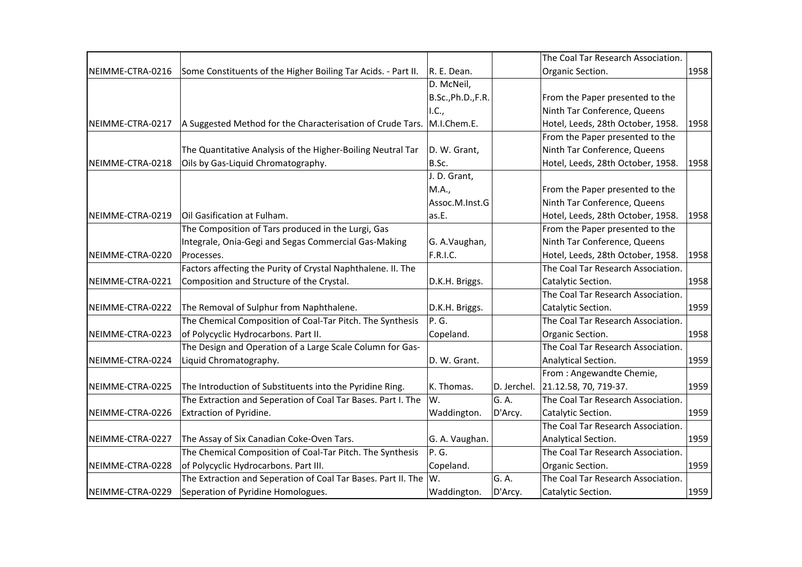|                  |                                                               |                    |             | The Coal Tar Research Association. |      |
|------------------|---------------------------------------------------------------|--------------------|-------------|------------------------------------|------|
| NEIMME-CTRA-0216 | Some Constituents of the Higher Boiling Tar Acids. - Part II. | R. E. Dean.        |             | Organic Section.                   | 1958 |
|                  |                                                               | D. McNeil,         |             |                                    |      |
|                  |                                                               | B.Sc., Ph.D., F.R. |             | From the Paper presented to the    |      |
|                  |                                                               | I.C.,              |             | Ninth Tar Conference, Queens       |      |
| NEIMME-CTRA-0217 | A Suggested Method for the Characterisation of Crude Tars.    | M.I.Chem.E.        |             | Hotel, Leeds, 28th October, 1958.  | 1958 |
|                  |                                                               |                    |             | From the Paper presented to the    |      |
|                  | The Quantitative Analysis of the Higher-Boiling Neutral Tar   | D. W. Grant,       |             | Ninth Tar Conference, Queens       |      |
| NEIMME-CTRA-0218 | Oils by Gas-Liquid Chromatography.                            | B.Sc.              |             | Hotel, Leeds, 28th October, 1958.  | 1958 |
|                  |                                                               | J. D. Grant,       |             |                                    |      |
|                  |                                                               | M.A.,              |             | From the Paper presented to the    |      |
|                  |                                                               | Assoc.M.Inst.G     |             | Ninth Tar Conference, Queens       |      |
| NEIMME-CTRA-0219 | Oil Gasification at Fulham.                                   | as.E.              |             | Hotel, Leeds, 28th October, 1958.  | 1958 |
|                  | The Composition of Tars produced in the Lurgi, Gas            |                    |             | From the Paper presented to the    |      |
|                  | Integrale, Onia-Gegi and Segas Commercial Gas-Making          | G. A.Vaughan,      |             | Ninth Tar Conference, Queens       |      |
| NEIMME-CTRA-0220 | Processes.                                                    | F.R.I.C.           |             | Hotel, Leeds, 28th October, 1958.  | 1958 |
|                  | Factors affecting the Purity of Crystal Naphthalene. II. The  |                    |             | The Coal Tar Research Association. |      |
| NEIMME-CTRA-0221 | Composition and Structure of the Crystal.                     | D.K.H. Briggs.     |             | Catalytic Section.                 | 1958 |
|                  |                                                               |                    |             | The Coal Tar Research Association. |      |
| NEIMME-CTRA-0222 | The Removal of Sulphur from Naphthalene.                      | D.K.H. Briggs.     |             | Catalytic Section.                 | 1959 |
|                  | The Chemical Composition of Coal-Tar Pitch. The Synthesis     | P.G.               |             | The Coal Tar Research Association. |      |
| NEIMME-CTRA-0223 | of Polycyclic Hydrocarbons. Part II.                          | Copeland.          |             | Organic Section.                   | 1958 |
|                  | The Design and Operation of a Large Scale Column for Gas-     |                    |             | The Coal Tar Research Association. |      |
| NEIMME-CTRA-0224 | Liquid Chromatography.                                        | D. W. Grant.       |             | Analytical Section.                | 1959 |
|                  |                                                               |                    |             | From: Angewandte Chemie,           |      |
| NEIMME-CTRA-0225 | The Introduction of Substituents into the Pyridine Ring.      | K. Thomas.         | D. Jerchel. | 21.12.58, 70, 719-37.              | 1959 |
|                  | The Extraction and Seperation of Coal Tar Bases. Part I. The  | W.                 | G. A.       | The Coal Tar Research Association. |      |
| NEIMME-CTRA-0226 | Extraction of Pyridine.                                       | Waddington.        | D'Arcy.     | Catalytic Section.                 | 1959 |
|                  |                                                               |                    |             | The Coal Tar Research Association. |      |
| NEIMME-CTRA-0227 | The Assay of Six Canadian Coke-Oven Tars.                     | G. A. Vaughan.     |             | Analytical Section.                | 1959 |
|                  | The Chemical Composition of Coal-Tar Pitch. The Synthesis     | P.G.               |             | The Coal Tar Research Association. |      |
| NEIMME-CTRA-0228 | of Polycyclic Hydrocarbons. Part III.                         | Copeland.          |             | Organic Section.                   | 1959 |
|                  | The Extraction and Seperation of Coal Tar Bases. Part II. The | Iw.                | G. A.       | The Coal Tar Research Association. |      |
| NEIMME-CTRA-0229 | Seperation of Pyridine Homologues.                            | Waddington.        | D'Arcy.     | Catalytic Section.                 | 1959 |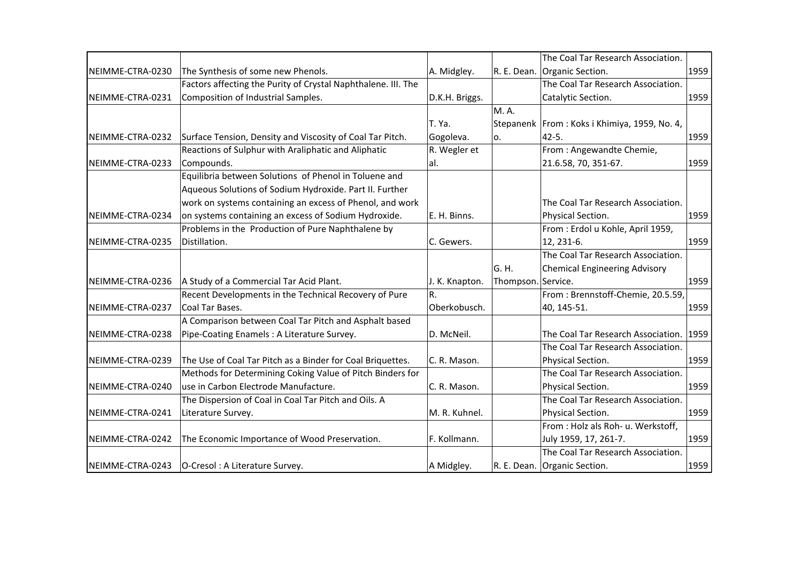|                  |                                                               |                |                    | The Coal Tar Research Association.              |      |
|------------------|---------------------------------------------------------------|----------------|--------------------|-------------------------------------------------|------|
| NEIMME-CTRA-0230 | The Synthesis of some new Phenols.                            | A. Midgley.    | R. E. Dean.        | Organic Section.                                | 1959 |
|                  | Factors affecting the Purity of Crystal Naphthalene. III. The |                |                    | The Coal Tar Research Association.              |      |
| NEIMME-CTRA-0231 | Composition of Industrial Samples.                            | D.K.H. Briggs. |                    | Catalytic Section.                              | 1959 |
|                  |                                                               |                | M. A.              |                                                 |      |
|                  |                                                               | T. Ya.         |                    | Stepanenk   From : Koks i Khimiya, 1959, No. 4, |      |
| NEIMME-CTRA-0232 | Surface Tension, Density and Viscosity of Coal Tar Pitch.     | Gogoleva.      | о.                 | 42-5.                                           | 1959 |
|                  | Reactions of Sulphur with Araliphatic and Aliphatic           | R. Wegler et   |                    | From: Angewandte Chemie,                        |      |
| NEIMME-CTRA-0233 | Compounds.                                                    | lal.           |                    | 21.6.58, 70, 351-67.                            | 1959 |
|                  | Equilibria between Solutions of Phenol in Toluene and         |                |                    |                                                 |      |
|                  | Aqueous Solutions of Sodium Hydroxide. Part II. Further       |                |                    |                                                 |      |
|                  | work on systems containing an excess of Phenol, and work      |                |                    | The Coal Tar Research Association.              |      |
| NEIMME-CTRA-0234 | on systems containing an excess of Sodium Hydroxide.          | E. H. Binns.   |                    | Physical Section.                               | 1959 |
|                  | Problems in the Production of Pure Naphthalene by             |                |                    | From: Erdol u Kohle, April 1959,                |      |
| NEIMME-CTRA-0235 | Distillation.                                                 | C. Gewers.     |                    | 12, 231-6.                                      | 1959 |
|                  |                                                               |                |                    | The Coal Tar Research Association.              |      |
|                  |                                                               |                | G. H.              | <b>Chemical Engineering Advisory</b>            |      |
| NEIMME-CTRA-0236 | A Study of a Commercial Tar Acid Plant.                       | J. K. Knapton. | Thompson. Service. |                                                 | 1959 |
|                  | Recent Developments in the Technical Recovery of Pure         | R.             |                    | From: Brennstoff-Chemie, 20.5.59,               |      |
| NEIMME-CTRA-0237 | Coal Tar Bases.                                               | Oberkobusch.   |                    | 40, 145-51.                                     | 1959 |
|                  | A Comparison between Coal Tar Pitch and Asphalt based         |                |                    |                                                 |      |
| NEIMME-CTRA-0238 | Pipe-Coating Enamels: A Literature Survey.                    | D. McNeil.     |                    | The Coal Tar Research Association.              | 1959 |
|                  |                                                               |                |                    | The Coal Tar Research Association.              |      |
| NEIMME-CTRA-0239 | The Use of Coal Tar Pitch as a Binder for Coal Briquettes.    | C. R. Mason.   |                    | Physical Section.                               | 1959 |
|                  | Methods for Determining Coking Value of Pitch Binders for     |                |                    | The Coal Tar Research Association.              |      |
| NEIMME-CTRA-0240 | use in Carbon Electrode Manufacture.                          | C. R. Mason.   |                    | Physical Section.                               | 1959 |
|                  | The Dispersion of Coal in Coal Tar Pitch and Oils. A          |                |                    | The Coal Tar Research Association.              |      |
| NEIMME-CTRA-0241 | Literature Survey.                                            | M. R. Kuhnel.  |                    | Physical Section.                               | 1959 |
|                  |                                                               |                |                    | From : Holz als Roh- u. Werkstoff,              |      |
| NEIMME-CTRA-0242 | The Economic Importance of Wood Preservation.                 | F. Kollmann.   |                    | July 1959, 17, 261-7.                           | 1959 |
|                  |                                                               |                |                    | The Coal Tar Research Association.              |      |
| NEIMME-CTRA-0243 | O-Cresol: A Literature Survey.                                | A Midgley.     |                    | R. E. Dean. Organic Section.                    | 1959 |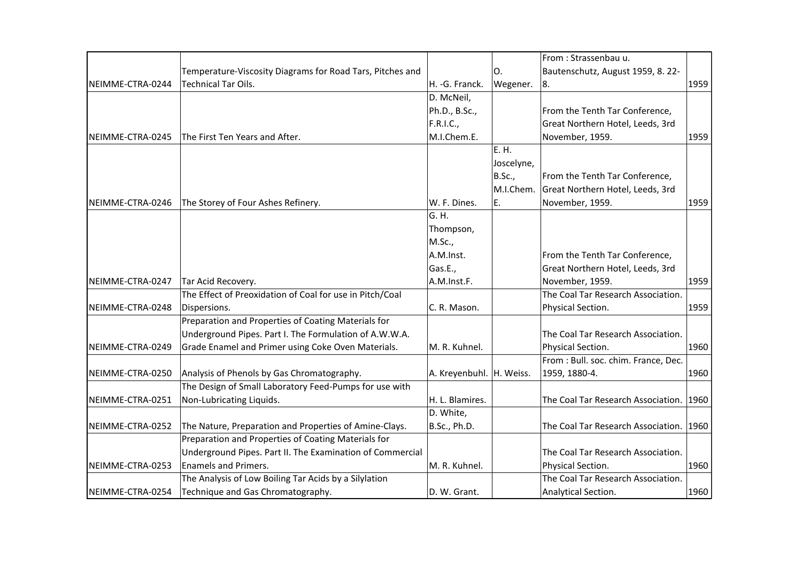|                  |                                                           |                          |               | From: Strassenbau u.                    |      |
|------------------|-----------------------------------------------------------|--------------------------|---------------|-----------------------------------------|------|
|                  | Temperature-Viscosity Diagrams for Road Tars, Pitches and |                          | Ο.            | Bautenschutz, August 1959, 8. 22-       |      |
| NEIMME-CTRA-0244 | Technical Tar Oils.                                       | H. - G. Franck.          | Wegener.      | 8.                                      | 1959 |
|                  |                                                           | D. McNeil,               |               |                                         |      |
|                  |                                                           | Ph.D., B.Sc.,            |               | From the Tenth Tar Conference,          |      |
|                  |                                                           | F.R.I.C.,                |               | Great Northern Hotel, Leeds, 3rd        |      |
| NEIMME-CTRA-0245 | The First Ten Years and After.                            | M.I.Chem.E.              |               | November, 1959.                         | 1959 |
|                  |                                                           |                          | E. H.         |                                         |      |
|                  |                                                           |                          | Joscelyne,    |                                         |      |
|                  |                                                           |                          | <b>B.Sc.,</b> | From the Tenth Tar Conference,          |      |
|                  |                                                           |                          | M.I.Chem.     | Great Northern Hotel, Leeds, 3rd        |      |
| NEIMME-CTRA-0246 | The Storey of Four Ashes Refinery.                        | W. F. Dines.             | Ε.            | November, 1959.                         | 1959 |
|                  |                                                           | G. H.                    |               |                                         |      |
|                  |                                                           | Thompson,                |               |                                         |      |
|                  |                                                           | M.Sc.,                   |               |                                         |      |
|                  |                                                           | A.M.Inst.                |               | From the Tenth Tar Conference,          |      |
|                  |                                                           | Gas.E.,                  |               | Great Northern Hotel, Leeds, 3rd        |      |
| NEIMME-CTRA-0247 | Tar Acid Recovery.                                        | A.M.Inst.F.              |               | November, 1959.                         | 1959 |
|                  | The Effect of Preoxidation of Coal for use in Pitch/Coal  |                          |               | The Coal Tar Research Association.      |      |
| NEIMME-CTRA-0248 | Dispersions.                                              | C. R. Mason.             |               | Physical Section.                       | 1959 |
|                  | Preparation and Properties of Coating Materials for       |                          |               |                                         |      |
|                  | Underground Pipes. Part I. The Formulation of A.W.W.A.    |                          |               | The Coal Tar Research Association.      |      |
| NEIMME-CTRA-0249 | Grade Enamel and Primer using Coke Oven Materials.        | M. R. Kuhnel.            |               | Physical Section.                       | 1960 |
|                  |                                                           |                          |               | From : Bull. soc. chim. France, Dec.    |      |
| NEIMME-CTRA-0250 | Analysis of Phenols by Gas Chromatography.                | A. Kreyenbuhl. H. Weiss. |               | 1959, 1880-4.                           | 1960 |
|                  | The Design of Small Laboratory Feed-Pumps for use with    |                          |               |                                         |      |
| NEIMME-CTRA-0251 | Non-Lubricating Liquids.                                  | H. L. Blamires.          |               | The Coal Tar Research Association. 1960 |      |
|                  |                                                           | D. White,                |               |                                         |      |
| NEIMME-CTRA-0252 | The Nature, Preparation and Properties of Amine-Clays.    | B.Sc., Ph.D.             |               | The Coal Tar Research Association. 1960 |      |
|                  | Preparation and Properties of Coating Materials for       |                          |               |                                         |      |
|                  | Underground Pipes. Part II. The Examination of Commercial |                          |               | The Coal Tar Research Association.      |      |
| NEIMME-CTRA-0253 | <b>Enamels and Primers.</b>                               | M. R. Kuhnel.            |               | Physical Section.                       | 1960 |
|                  | The Analysis of Low Boiling Tar Acids by a Silylation     |                          |               | The Coal Tar Research Association.      |      |
| NEIMME-CTRA-0254 | Technique and Gas Chromatography.                         | D. W. Grant.             |               | Analytical Section.                     | 1960 |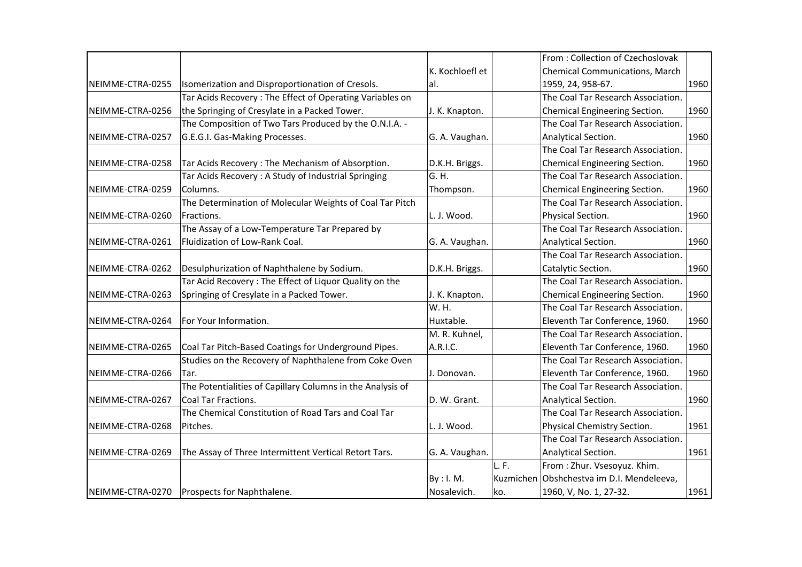|                  |                                                            |                 |      | From: Collection of Czechoslovak          |      |
|------------------|------------------------------------------------------------|-----------------|------|-------------------------------------------|------|
|                  |                                                            | K. Kochloefl et |      | Chemical Communications, March            |      |
| NEIMME-CTRA-0255 | Isomerization and Disproportionation of Cresols.           | al.             |      | 1959, 24, 958-67.                         | 1960 |
|                  | Tar Acids Recovery: The Effect of Operating Variables on   |                 |      | The Coal Tar Research Association.        |      |
| NEIMME-CTRA-0256 | the Springing of Cresylate in a Packed Tower.              | J. K. Knapton.  |      | Chemical Engineering Section.             | 1960 |
|                  | The Composition of Two Tars Produced by the O.N.I.A. -     |                 |      | The Coal Tar Research Association.        |      |
| NEIMME-CTRA-0257 | G.E.G.I. Gas-Making Processes.                             | G. A. Vaughan.  |      | Analytical Section.                       | 1960 |
|                  |                                                            |                 |      | The Coal Tar Research Association.        |      |
| NEIMME-CTRA-0258 | Tar Acids Recovery: The Mechanism of Absorption.           | D.K.H. Briggs.  |      | Chemical Engineering Section.             | 1960 |
|                  | Tar Acids Recovery: A Study of Industrial Springing        | G. H.           |      | The Coal Tar Research Association.        |      |
| NEIMME-CTRA-0259 | Columns.                                                   | Thompson.       |      | Chemical Engineering Section.             | 1960 |
|                  | The Determination of Molecular Weights of Coal Tar Pitch   |                 |      | The Coal Tar Research Association.        |      |
| NEIMME-CTRA-0260 | Fractions.                                                 | L. J. Wood.     |      | Physical Section.                         | 1960 |
|                  | The Assay of a Low-Temperature Tar Prepared by             |                 |      | The Coal Tar Research Association.        |      |
| NEIMME-CTRA-0261 | Fluidization of Low-Rank Coal.                             | G. A. Vaughan.  |      | Analytical Section.                       | 1960 |
|                  |                                                            |                 |      | The Coal Tar Research Association.        |      |
| NEIMME-CTRA-0262 | Desulphurization of Naphthalene by Sodium.                 | D.K.H. Briggs.  |      | Catalytic Section.                        | 1960 |
|                  | Tar Acid Recovery: The Effect of Liquor Quality on the     |                 |      | The Coal Tar Research Association.        |      |
| NEIMME-CTRA-0263 | Springing of Cresylate in a Packed Tower.                  | J. K. Knapton.  |      | Chemical Engineering Section.             | 1960 |
|                  |                                                            | W. H.           |      | The Coal Tar Research Association.        |      |
| NEIMME-CTRA-0264 | For Your Information.                                      | Huxtable.       |      | Eleventh Tar Conference, 1960.            | 1960 |
|                  |                                                            | M. R. Kuhnel,   |      | The Coal Tar Research Association.        |      |
| NEIMME-CTRA-0265 | Coal Tar Pitch-Based Coatings for Underground Pipes.       | A.R.I.C.        |      | Eleventh Tar Conference, 1960.            | 1960 |
|                  | Studies on the Recovery of Naphthalene from Coke Oven      |                 |      | The Coal Tar Research Association.        |      |
| NEIMME-CTRA-0266 | Tar.                                                       | J. Donovan.     |      | Eleventh Tar Conference, 1960.            | 1960 |
|                  | The Potentialities of Capillary Columns in the Analysis of |                 |      | The Coal Tar Research Association.        |      |
| NEIMME-CTRA-0267 | <b>Coal Tar Fractions.</b>                                 | D. W. Grant.    |      | Analytical Section.                       | 1960 |
|                  | The Chemical Constitution of Road Tars and Coal Tar        |                 |      | The Coal Tar Research Association.        |      |
| NEIMME-CTRA-0268 | Pitches.                                                   | L. J. Wood.     |      | Physical Chemistry Section.               | 1961 |
|                  |                                                            |                 |      | The Coal Tar Research Association.        |      |
| NEIMME-CTRA-0269 | The Assay of Three Intermittent Vertical Retort Tars.      | G. A. Vaughan.  |      | Analytical Section.                       | 1961 |
|                  |                                                            |                 | L.F. | From: Zhur. Vsesoyuz. Khim.               |      |
|                  |                                                            | By: I. M.       |      | Kuzmichen Obshchestva im D.I. Mendeleeva, |      |
| NEIMME-CTRA-0270 | Prospects for Naphthalene.                                 | Nosalevich.     | ko.  | 1960, V, No. 1, 27-32.                    | 1961 |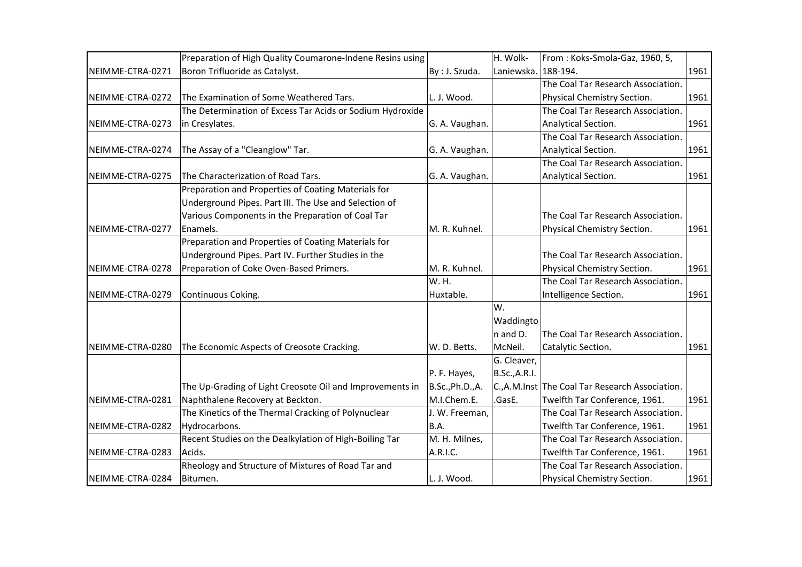|                  | Preparation of High Quality Coumarone-Indene Resins using |                  | H. Wolk-            | From: Koks-Smola-Gaz, 1960, 5,                   |      |
|------------------|-----------------------------------------------------------|------------------|---------------------|--------------------------------------------------|------|
| NEIMME-CTRA-0271 | Boron Trifluoride as Catalyst.                            | By : J. Szuda.   | Laniewska. 188-194. |                                                  | 1961 |
|                  |                                                           |                  |                     | The Coal Tar Research Association.               |      |
| NEIMME-CTRA-0272 | The Examination of Some Weathered Tars.                   | L. J. Wood.      |                     | Physical Chemistry Section.                      | 1961 |
|                  | The Determination of Excess Tar Acids or Sodium Hydroxide |                  |                     | The Coal Tar Research Association.               |      |
| NEIMME-CTRA-0273 | in Cresylates.                                            | G. A. Vaughan.   |                     | Analytical Section.                              | 1961 |
|                  |                                                           |                  |                     | The Coal Tar Research Association.               |      |
| NEIMME-CTRA-0274 | The Assay of a "Cleanglow" Tar.                           | G. A. Vaughan.   |                     | Analytical Section.                              | 1961 |
|                  |                                                           |                  |                     | The Coal Tar Research Association.               |      |
| NEIMME-CTRA-0275 | The Characterization of Road Tars.                        | G. A. Vaughan.   |                     | Analytical Section.                              | 1961 |
|                  | Preparation and Properties of Coating Materials for       |                  |                     |                                                  |      |
|                  | Underground Pipes. Part III. The Use and Selection of     |                  |                     |                                                  |      |
|                  | Various Components in the Preparation of Coal Tar         |                  |                     | The Coal Tar Research Association.               |      |
| NEIMME-CTRA-0277 | Enamels.                                                  | M. R. Kuhnel.    |                     | Physical Chemistry Section.                      | 1961 |
|                  | Preparation and Properties of Coating Materials for       |                  |                     |                                                  |      |
|                  | Underground Pipes. Part IV. Further Studies in the        |                  |                     | The Coal Tar Research Association.               |      |
| NEIMME-CTRA-0278 | Preparation of Coke Oven-Based Primers.                   | M. R. Kuhnel.    |                     | Physical Chemistry Section.                      | 1961 |
|                  |                                                           | W. H.            |                     | The Coal Tar Research Association.               |      |
| NEIMME-CTRA-0279 | Continuous Coking.                                        | Huxtable.        |                     | Intelligence Section.                            | 1961 |
|                  |                                                           |                  | W.                  |                                                  |      |
|                  |                                                           |                  | Waddingto           |                                                  |      |
|                  |                                                           |                  | n and D.            | The Coal Tar Research Association.               |      |
| NEIMME-CTRA-0280 | The Economic Aspects of Creosote Cracking.                | W. D. Betts.     | McNeil.             | Catalytic Section.                               | 1961 |
|                  |                                                           |                  | G. Cleaver,         |                                                  |      |
|                  |                                                           | P. F. Hayes,     | B.Sc., A.R.I.       |                                                  |      |
|                  | The Up-Grading of Light Creosote Oil and Improvements in  | B.Sc., Ph.D., A. |                     | C., A.M. Inst The Coal Tar Research Association. |      |
| NEIMME-CTRA-0281 | Naphthalene Recovery at Beckton.                          | M.I.Chem.E.      | .GasE.              | Twelfth Tar Conference, 1961.                    | 1961 |
|                  | The Kinetics of the Thermal Cracking of Polynuclear       | J. W. Freeman,   |                     | The Coal Tar Research Association.               |      |
| NEIMME-CTRA-0282 | Hydrocarbons.                                             | B.A.             |                     | Twelfth Tar Conference, 1961.                    | 1961 |
|                  | Recent Studies on the Dealkylation of High-Boiling Tar    | M. H. Milnes,    |                     | The Coal Tar Research Association.               |      |
| NEIMME-CTRA-0283 | Acids.                                                    | A.R.I.C.         |                     | Twelfth Tar Conference, 1961.                    | 1961 |
|                  | Rheology and Structure of Mixtures of Road Tar and        |                  |                     | The Coal Tar Research Association.               |      |
| NEIMME-CTRA-0284 | Bitumen.                                                  | L. J. Wood.      |                     | Physical Chemistry Section.                      | 1961 |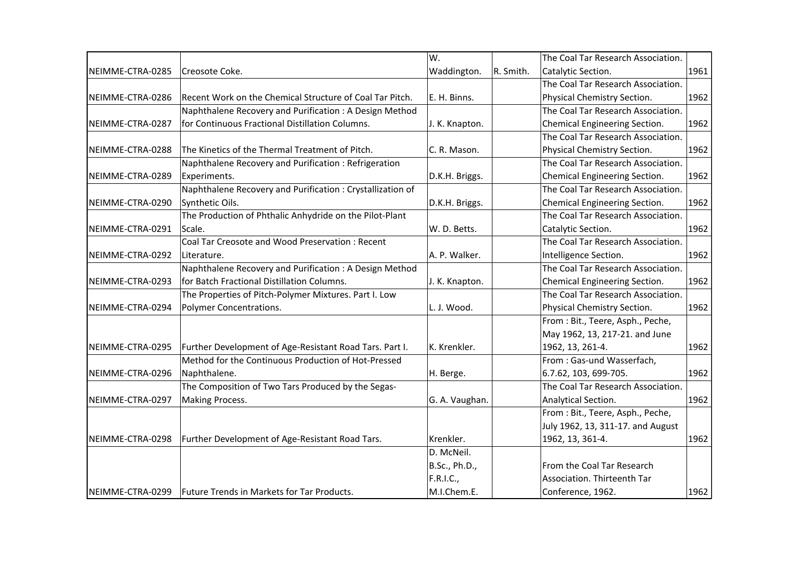|                  |                                                           | W.             |           | The Coal Tar Research Association. |      |
|------------------|-----------------------------------------------------------|----------------|-----------|------------------------------------|------|
| NEIMME-CTRA-0285 | Creosote Coke.                                            | Waddington.    | R. Smith. | Catalytic Section.                 | 1961 |
|                  |                                                           |                |           | The Coal Tar Research Association. |      |
| NEIMME-CTRA-0286 | Recent Work on the Chemical Structure of Coal Tar Pitch.  | E. H. Binns.   |           | Physical Chemistry Section.        | 1962 |
|                  | Naphthalene Recovery and Purification: A Design Method    |                |           | The Coal Tar Research Association. |      |
| NEIMME-CTRA-0287 | for Continuous Fractional Distillation Columns.           | J. K. Knapton. |           | Chemical Engineering Section.      | 1962 |
|                  |                                                           |                |           | The Coal Tar Research Association. |      |
| NEIMME-CTRA-0288 | The Kinetics of the Thermal Treatment of Pitch.           | C. R. Mason.   |           | Physical Chemistry Section.        | 1962 |
|                  | Naphthalene Recovery and Purification: Refrigeration      |                |           | The Coal Tar Research Association. |      |
| NEIMME-CTRA-0289 | Experiments.                                              | D.K.H. Briggs. |           | Chemical Engineering Section.      | 1962 |
|                  | Naphthalene Recovery and Purification: Crystallization of |                |           | The Coal Tar Research Association. |      |
| NEIMME-CTRA-0290 | Synthetic Oils.                                           | D.K.H. Briggs. |           | Chemical Engineering Section.      | 1962 |
|                  | The Production of Phthalic Anhydride on the Pilot-Plant   |                |           | The Coal Tar Research Association. |      |
| NEIMME-CTRA-0291 | Scale.                                                    | W. D. Betts.   |           | Catalytic Section.                 | 1962 |
|                  | Coal Tar Creosote and Wood Preservation: Recent           |                |           | The Coal Tar Research Association. |      |
| NEIMME-CTRA-0292 | Literature.                                               | A. P. Walker.  |           | Intelligence Section.              | 1962 |
|                  | Naphthalene Recovery and Purification: A Design Method    |                |           | The Coal Tar Research Association. |      |
| NEIMME-CTRA-0293 | for Batch Fractional Distillation Columns.                | J. K. Knapton. |           | Chemical Engineering Section.      | 1962 |
|                  | The Properties of Pitch-Polymer Mixtures. Part I. Low     |                |           | The Coal Tar Research Association. |      |
| NEIMME-CTRA-0294 | Polymer Concentrations.                                   | L. J. Wood.    |           | Physical Chemistry Section.        | 1962 |
|                  |                                                           |                |           | From: Bit., Teere, Asph., Peche,   |      |
|                  |                                                           |                |           | May 1962, 13, 217-21. and June     |      |
| NEIMME-CTRA-0295 | Further Development of Age-Resistant Road Tars. Part I.   | K. Krenkler.   |           | 1962, 13, 261-4.                   | 1962 |
|                  | Method for the Continuous Production of Hot-Pressed       |                |           | From: Gas-und Wasserfach,          |      |
| NEIMME-CTRA-0296 | Naphthalene.                                              | H. Berge.      |           | 6.7.62, 103, 699-705.              | 1962 |
|                  | The Composition of Two Tars Produced by the Segas-        |                |           | The Coal Tar Research Association. |      |
| NEIMME-CTRA-0297 | Making Process.                                           | G. A. Vaughan. |           | Analytical Section.                | 1962 |
|                  |                                                           |                |           | From : Bit., Teere, Asph., Peche,  |      |
|                  |                                                           |                |           | July 1962, 13, 311-17. and August  |      |
| NEIMME-CTRA-0298 | Further Development of Age-Resistant Road Tars.           | Krenkler.      |           | 1962, 13, 361-4.                   | 1962 |
|                  |                                                           | D. McNeil.     |           |                                    |      |
|                  |                                                           | B.Sc., Ph.D.,  |           | From the Coal Tar Research         |      |
|                  |                                                           | F.R.I.C.,      |           | Association. Thirteenth Tar        |      |
| NEIMME-CTRA-0299 | Future Trends in Markets for Tar Products.                | M.I.Chem.E.    |           | Conference, 1962.                  | 1962 |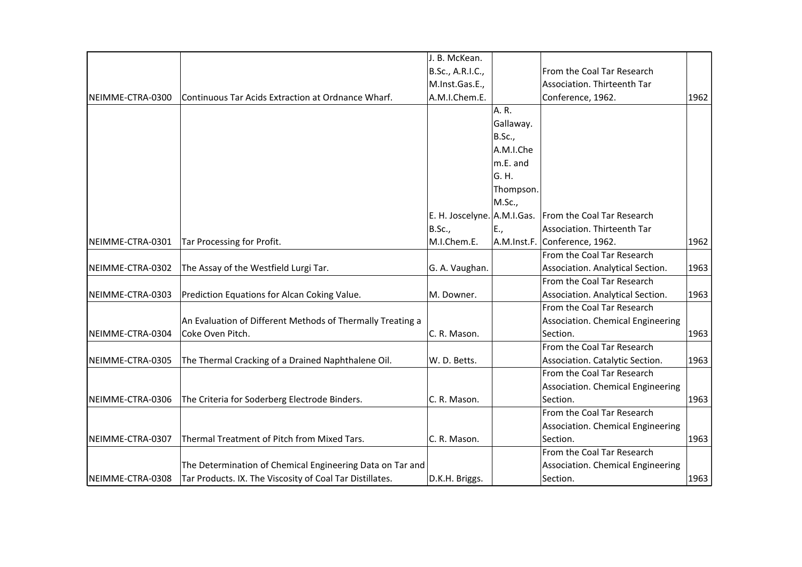|                  |                                                            | J. B. McKean.               |               |                                   |      |
|------------------|------------------------------------------------------------|-----------------------------|---------------|-----------------------------------|------|
|                  |                                                            | B.Sc., A.R.I.C.,            |               | From the Coal Tar Research        |      |
|                  |                                                            | M.Inst.Gas.E.,              |               | Association. Thirteenth Tar       |      |
| NEIMME-CTRA-0300 | Continuous Tar Acids Extraction at Ordnance Wharf.         | A.M.I.Chem.E.               |               | Conference, 1962.                 | 1962 |
|                  |                                                            |                             | A. R.         |                                   |      |
|                  |                                                            |                             | Gallaway.     |                                   |      |
|                  |                                                            |                             | <b>B.Sc.,</b> |                                   |      |
|                  |                                                            |                             | A.M.I.Che     |                                   |      |
|                  |                                                            |                             | m.E. and      |                                   |      |
|                  |                                                            |                             | G. H.         |                                   |      |
|                  |                                                            |                             | Thompson.     |                                   |      |
|                  |                                                            |                             | M.Sc.,        |                                   |      |
|                  |                                                            | E. H. Joscelyne. A.M.I.Gas. |               | From the Coal Tar Research        |      |
|                  |                                                            | B.Sc.,                      | E.,           | Association. Thirteenth Tar       |      |
| NEIMME-CTRA-0301 | Tar Processing for Profit.                                 | M.I.Chem.E.                 |               | A.M.Inst.F. Conference, 1962.     | 1962 |
|                  |                                                            |                             |               | From the Coal Tar Research        |      |
| NEIMME-CTRA-0302 | The Assay of the Westfield Lurgi Tar.                      | G. A. Vaughan.              |               | Association. Analytical Section.  | 1963 |
|                  |                                                            |                             |               | From the Coal Tar Research        |      |
| NEIMME-CTRA-0303 | Prediction Equations for Alcan Coking Value.               | M. Downer.                  |               | Association. Analytical Section.  | 1963 |
|                  |                                                            |                             |               | From the Coal Tar Research        |      |
|                  | An Evaluation of Different Methods of Thermally Treating a |                             |               | Association. Chemical Engineering |      |
| NEIMME-CTRA-0304 | Coke Oven Pitch.                                           | C. R. Mason.                |               | Section.                          | 1963 |
|                  |                                                            |                             |               | From the Coal Tar Research        |      |
| NEIMME-CTRA-0305 | The Thermal Cracking of a Drained Naphthalene Oil.         | W. D. Betts.                |               | Association. Catalytic Section.   | 1963 |
|                  |                                                            |                             |               | From the Coal Tar Research        |      |
|                  |                                                            |                             |               | Association. Chemical Engineering |      |
| NEIMME-CTRA-0306 | The Criteria for Soderberg Electrode Binders.              | C. R. Mason.                |               | Section.                          | 1963 |
|                  |                                                            |                             |               | From the Coal Tar Research        |      |
|                  |                                                            |                             |               | Association. Chemical Engineering |      |
| NEIMME-CTRA-0307 | Thermal Treatment of Pitch from Mixed Tars.                | C. R. Mason.                |               | Section.                          | 1963 |
|                  |                                                            |                             |               | From the Coal Tar Research        |      |
|                  | The Determination of Chemical Engineering Data on Tar and  |                             |               | Association. Chemical Engineering |      |
| NEIMME-CTRA-0308 | Tar Products. IX. The Viscosity of Coal Tar Distillates.   | D.K.H. Briggs.              |               | Section.                          | 1963 |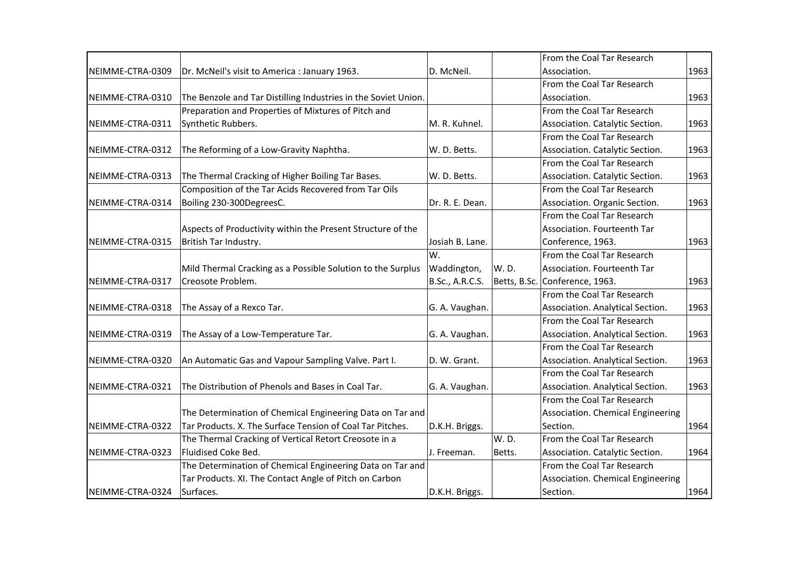|                  |                                                                |                 |        | From the Coal Tar Research        |      |
|------------------|----------------------------------------------------------------|-----------------|--------|-----------------------------------|------|
| NEIMME-CTRA-0309 | Dr. McNeil's visit to America : January 1963.                  | D. McNeil.      |        | Association.                      | 1963 |
|                  |                                                                |                 |        | From the Coal Tar Research        |      |
| NEIMME-CTRA-0310 | The Benzole and Tar Distilling Industries in the Soviet Union. |                 |        | Association.                      | 1963 |
|                  | Preparation and Properties of Mixtures of Pitch and            |                 |        | From the Coal Tar Research        |      |
| NEIMME-CTRA-0311 | Synthetic Rubbers.                                             | M. R. Kuhnel.   |        | Association. Catalytic Section.   | 1963 |
|                  |                                                                |                 |        | From the Coal Tar Research        |      |
| NEIMME-CTRA-0312 | The Reforming of a Low-Gravity Naphtha.                        | W. D. Betts.    |        | Association. Catalytic Section.   | 1963 |
|                  |                                                                |                 |        | From the Coal Tar Research        |      |
| NEIMME-CTRA-0313 | The Thermal Cracking of Higher Boiling Tar Bases.              | W. D. Betts.    |        | Association. Catalytic Section.   | 1963 |
|                  | Composition of the Tar Acids Recovered from Tar Oils           |                 |        | From the Coal Tar Research        |      |
| NEIMME-CTRA-0314 | Boiling 230-300DegreesC.                                       | Dr. R. E. Dean. |        | Association. Organic Section.     | 1963 |
|                  |                                                                |                 |        | From the Coal Tar Research        |      |
|                  | Aspects of Productivity within the Present Structure of the    |                 |        | Association. Fourteenth Tar       |      |
| NEIMME-CTRA-0315 | British Tar Industry.                                          | Josiah B. Lane. |        | Conference, 1963.                 | 1963 |
|                  |                                                                | lw.             |        | From the Coal Tar Research        |      |
|                  | Mild Thermal Cracking as a Possible Solution to the Surplus    | Waddington,     | W.D.   | Association. Fourteenth Tar       |      |
| NEIMME-CTRA-0317 | Creosote Problem.                                              | B.Sc., A.R.C.S. |        | Betts, B.Sc. Conference, 1963.    | 1963 |
|                  |                                                                |                 |        | From the Coal Tar Research        |      |
| NEIMME-CTRA-0318 | The Assay of a Rexco Tar.                                      | G. A. Vaughan.  |        | Association. Analytical Section.  | 1963 |
|                  |                                                                |                 |        | From the Coal Tar Research        |      |
| NEIMME-CTRA-0319 | The Assay of a Low-Temperature Tar.                            | G. A. Vaughan.  |        | Association. Analytical Section.  | 1963 |
|                  |                                                                |                 |        | From the Coal Tar Research        |      |
| NEIMME-CTRA-0320 | An Automatic Gas and Vapour Sampling Valve. Part I.            | D. W. Grant.    |        | Association. Analytical Section.  | 1963 |
|                  |                                                                |                 |        | From the Coal Tar Research        |      |
| NEIMME-CTRA-0321 | The Distribution of Phenols and Bases in Coal Tar.             | G. A. Vaughan.  |        | Association. Analytical Section.  | 1963 |
|                  |                                                                |                 |        | From the Coal Tar Research        |      |
|                  | The Determination of Chemical Engineering Data on Tar and      |                 |        | Association. Chemical Engineering |      |
| NEIMME-CTRA-0322 | Tar Products. X. The Surface Tension of Coal Tar Pitches.      | D.K.H. Briggs.  |        | Section.                          | 1964 |
|                  | The Thermal Cracking of Vertical Retort Creosote in a          |                 | W.D.   | From the Coal Tar Research        |      |
| NEIMME-CTRA-0323 | Fluidised Coke Bed.                                            | J. Freeman.     | Betts. | Association. Catalytic Section.   | 1964 |
|                  | The Determination of Chemical Engineering Data on Tar and      |                 |        | From the Coal Tar Research        |      |
|                  | Tar Products. XI. The Contact Angle of Pitch on Carbon         |                 |        | Association. Chemical Engineering |      |
| NEIMME-CTRA-0324 | Surfaces.                                                      | D.K.H. Briggs.  |        | Section.                          | 1964 |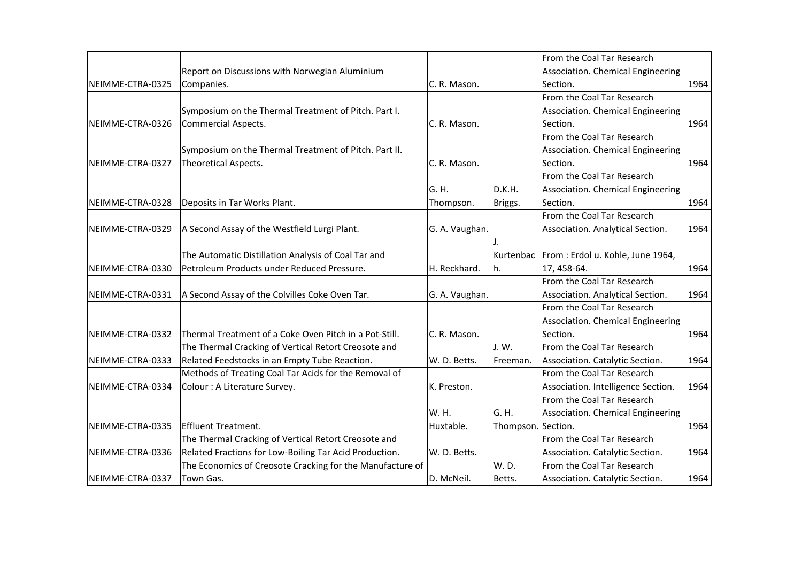|                  |                                                           |                |                    | From the Coal Tar Research                    |      |
|------------------|-----------------------------------------------------------|----------------|--------------------|-----------------------------------------------|------|
|                  | Report on Discussions with Norwegian Aluminium            |                |                    | Association. Chemical Engineering             |      |
| NEIMME-CTRA-0325 | Companies.                                                | C. R. Mason.   |                    | Section.                                      | 1964 |
|                  |                                                           |                |                    | From the Coal Tar Research                    |      |
|                  | Symposium on the Thermal Treatment of Pitch. Part I.      |                |                    | Association. Chemical Engineering             |      |
| NEIMME-CTRA-0326 | Commercial Aspects.                                       | C. R. Mason.   |                    | Section.                                      | 1964 |
|                  |                                                           |                |                    | From the Coal Tar Research                    |      |
|                  | Symposium on the Thermal Treatment of Pitch. Part II.     |                |                    | Association. Chemical Engineering             |      |
| NEIMME-CTRA-0327 | <b>Theoretical Aspects.</b>                               | C. R. Mason.   |                    | Section.                                      | 1964 |
|                  |                                                           |                |                    | From the Coal Tar Research                    |      |
|                  |                                                           | G. H.          | D.K.H.             | Association. Chemical Engineering             |      |
| NEIMME-CTRA-0328 | Deposits in Tar Works Plant.                              | Thompson.      | Briggs.            | Section.                                      | 1964 |
|                  |                                                           |                |                    | From the Coal Tar Research                    |      |
| NEIMME-CTRA-0329 | A Second Assay of the Westfield Lurgi Plant.              | G. A. Vaughan. |                    | Association. Analytical Section.              | 1964 |
|                  |                                                           |                |                    |                                               |      |
|                  | The Automatic Distillation Analysis of Coal Tar and       |                |                    | Kurtenbac   From : Erdol u. Kohle, June 1964, |      |
| NEIMME-CTRA-0330 | Petroleum Products under Reduced Pressure.                | H. Reckhard.   | h.                 | 17, 458-64.                                   | 1964 |
|                  |                                                           |                |                    | From the Coal Tar Research                    |      |
| NEIMME-CTRA-0331 | A Second Assay of the Colvilles Coke Oven Tar.            | G. A. Vaughan. |                    | Association. Analytical Section.              | 1964 |
|                  |                                                           |                |                    | From the Coal Tar Research                    |      |
|                  |                                                           |                |                    | Association. Chemical Engineering             |      |
| NEIMME-CTRA-0332 | Thermal Treatment of a Coke Oven Pitch in a Pot-Still.    | C. R. Mason.   |                    | Section.                                      | 1964 |
|                  | The Thermal Cracking of Vertical Retort Creosote and      |                | J.W.               | From the Coal Tar Research                    |      |
| NEIMME-CTRA-0333 | Related Feedstocks in an Empty Tube Reaction.             | W. D. Betts.   | Freeman.           | Association. Catalytic Section.               | 1964 |
|                  | Methods of Treating Coal Tar Acids for the Removal of     |                |                    | From the Coal Tar Research                    |      |
| NEIMME-CTRA-0334 | Colour : A Literature Survey.                             | K. Preston.    |                    | Association. Intelligence Section.            | 1964 |
|                  |                                                           |                |                    | From the Coal Tar Research                    |      |
|                  |                                                           | W. H.          | G. H.              | Association. Chemical Engineering             |      |
| NEIMME-CTRA-0335 | Effluent Treatment.                                       | Huxtable.      | Thompson. Section. |                                               | 1964 |
|                  | The Thermal Cracking of Vertical Retort Creosote and      |                |                    | From the Coal Tar Research                    |      |
| NEIMME-CTRA-0336 | Related Fractions for Low-Boiling Tar Acid Production.    | W. D. Betts.   |                    | Association. Catalytic Section.               | 1964 |
|                  | The Economics of Creosote Cracking for the Manufacture of |                | W.D.               | From the Coal Tar Research                    |      |
| NEIMME-CTRA-0337 | Town Gas.                                                 | D. McNeil.     | Betts.             | Association. Catalytic Section.               | 1964 |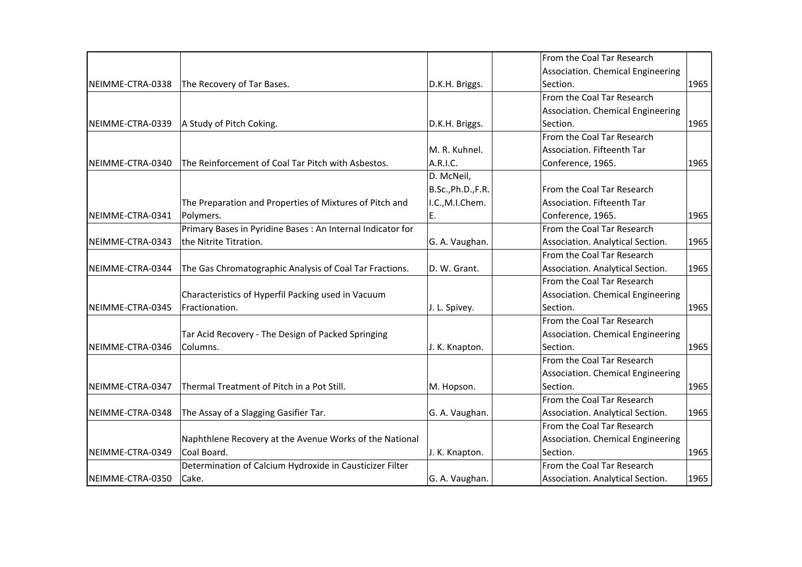|                  |                                                             |                    | From the Coal Tar Research        |      |
|------------------|-------------------------------------------------------------|--------------------|-----------------------------------|------|
|                  |                                                             |                    | Association. Chemical Engineering |      |
| NEIMME-CTRA-0338 | The Recovery of Tar Bases.                                  | D.K.H. Briggs.     | Section.                          | 1965 |
|                  |                                                             |                    | From the Coal Tar Research        |      |
|                  |                                                             |                    | Association. Chemical Engineering |      |
| NEIMME-CTRA-0339 | A Study of Pitch Coking.                                    | D.K.H. Briggs.     | Section.                          | 1965 |
|                  |                                                             |                    | From the Coal Tar Research        |      |
|                  |                                                             | M. R. Kuhnel.      | Association. Fifteenth Tar        |      |
| NEIMME-CTRA-0340 | The Reinforcement of Coal Tar Pitch with Asbestos.          | A.R.I.C.           | Conference, 1965.                 | 1965 |
|                  |                                                             | D. McNeil,         |                                   |      |
|                  |                                                             | B.Sc., Ph.D., F.R. | From the Coal Tar Research        |      |
|                  |                                                             | I.C., M.I.Chem.    | Association. Fifteenth Tar        |      |
|                  | The Preparation and Properties of Mixtures of Pitch and     |                    |                                   |      |
| NEIMME-CTRA-0341 | Polymers.                                                   | Ε.                 | Conference, 1965.                 | 1965 |
|                  | Primary Bases in Pyridine Bases : An Internal Indicator for |                    | From the Coal Tar Research        |      |
| NEIMME-CTRA-0343 | the Nitrite Titration.                                      | G. A. Vaughan.     | Association. Analytical Section.  | 1965 |
|                  |                                                             |                    | From the Coal Tar Research        |      |
| NEIMME-CTRA-0344 | The Gas Chromatographic Analysis of Coal Tar Fractions.     | D. W. Grant.       | Association. Analytical Section.  | 1965 |
|                  |                                                             |                    | From the Coal Tar Research        |      |
|                  | Characteristics of Hyperfil Packing used in Vacuum          |                    | Association. Chemical Engineering |      |
| NEIMME-CTRA-0345 | Fractionation.                                              | J. L. Spivey.      | Section.                          | 1965 |
|                  |                                                             |                    | From the Coal Tar Research        |      |
|                  | Tar Acid Recovery - The Design of Packed Springing          |                    | Association. Chemical Engineering |      |
| NEIMME-CTRA-0346 | Columns.                                                    | J. K. Knapton.     | Section.                          | 1965 |
|                  |                                                             |                    | From the Coal Tar Research        |      |
|                  |                                                             |                    | Association. Chemical Engineering |      |
| NEIMME-CTRA-0347 | Thermal Treatment of Pitch in a Pot Still.                  | M. Hopson.         | Section.                          | 1965 |
|                  |                                                             |                    | From the Coal Tar Research        |      |
| NEIMME-CTRA-0348 | The Assay of a Slagging Gasifier Tar.                       | G. A. Vaughan.     | Association. Analytical Section.  | 1965 |
|                  |                                                             |                    | From the Coal Tar Research        |      |
|                  | Naphthlene Recovery at the Avenue Works of the National     |                    | Association. Chemical Engineering |      |
| NEIMME-CTRA-0349 | Coal Board.                                                 | J. K. Knapton.     | Section.                          | 1965 |
|                  | Determination of Calcium Hydroxide in Causticizer Filter    |                    | From the Coal Tar Research        |      |
| NEIMME-CTRA-0350 | Cake.                                                       | G. A. Vaughan.     | Association. Analytical Section.  | 1965 |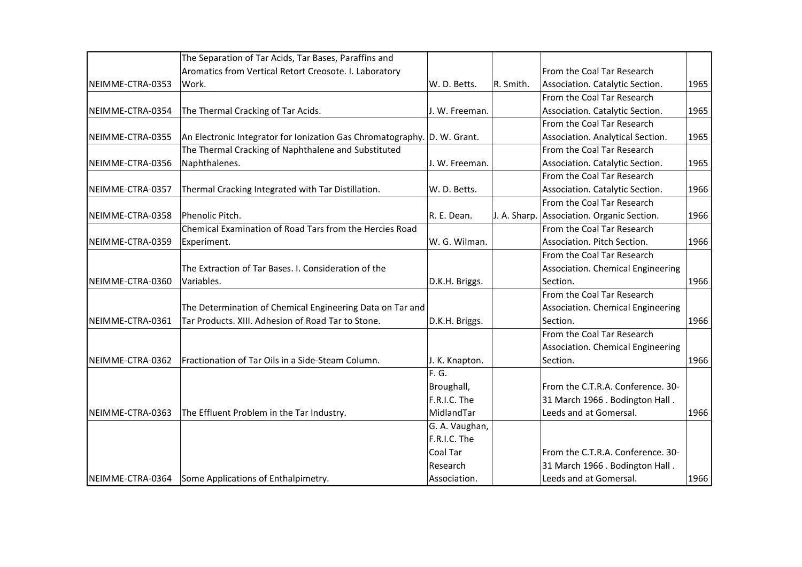|                  | The Separation of Tar Acids, Tar Bases, Paraffins and                    |                |           |                                            |      |
|------------------|--------------------------------------------------------------------------|----------------|-----------|--------------------------------------------|------|
|                  | Aromatics from Vertical Retort Creosote. I. Laboratory                   |                |           | From the Coal Tar Research                 |      |
| NEIMME-CTRA-0353 | Work.                                                                    | W. D. Betts.   | R. Smith. | Association. Catalytic Section.            | 1965 |
|                  |                                                                          |                |           | From the Coal Tar Research                 |      |
| NEIMME-CTRA-0354 | The Thermal Cracking of Tar Acids.                                       | J. W. Freeman. |           | Association. Catalytic Section.            | 1965 |
|                  |                                                                          |                |           | From the Coal Tar Research                 |      |
| NEIMME-CTRA-0355 | An Electronic Integrator for Ionization Gas Chromatography. D. W. Grant. |                |           | Association. Analytical Section.           | 1965 |
|                  | The Thermal Cracking of Naphthalene and Substituted                      |                |           | From the Coal Tar Research                 |      |
| NEIMME-CTRA-0356 | Naphthalenes.                                                            | J. W. Freeman. |           | Association. Catalytic Section.            | 1965 |
|                  |                                                                          |                |           | From the Coal Tar Research                 |      |
| NEIMME-CTRA-0357 | Thermal Cracking Integrated with Tar Distillation.                       | W. D. Betts.   |           | Association. Catalytic Section.            | 1966 |
|                  |                                                                          |                |           | From the Coal Tar Research                 |      |
| NEIMME-CTRA-0358 | Phenolic Pitch.                                                          | R. E. Dean.    |           | J. A. Sharp. Association. Organic Section. | 1966 |
|                  | Chemical Examination of Road Tars from the Hercies Road                  |                |           | From the Coal Tar Research                 |      |
| NEIMME-CTRA-0359 | Experiment.                                                              | W. G. Wilman.  |           | Association. Pitch Section.                | 1966 |
|                  |                                                                          |                |           | From the Coal Tar Research                 |      |
|                  | The Extraction of Tar Bases. I. Consideration of the                     |                |           | Association. Chemical Engineering          |      |
| NEIMME-CTRA-0360 | Variables.                                                               | D.K.H. Briggs. |           | Section.                                   | 1966 |
|                  |                                                                          |                |           | From the Coal Tar Research                 |      |
|                  | The Determination of Chemical Engineering Data on Tar and                |                |           | Association. Chemical Engineering          |      |
| NEIMME-CTRA-0361 | Tar Products, XIII, Adhesion of Road Tar to Stone.                       | D.K.H. Briggs. |           | Section.                                   | 1966 |
|                  |                                                                          |                |           | From the Coal Tar Research                 |      |
|                  |                                                                          |                |           | Association. Chemical Engineering          |      |
| NEIMME-CTRA-0362 | Fractionation of Tar Oils in a Side-Steam Column.                        | J. K. Knapton. |           | Section.                                   | 1966 |
|                  |                                                                          | F. G.          |           |                                            |      |
|                  |                                                                          | Broughall,     |           | From the C.T.R.A. Conference. 30-          |      |
|                  |                                                                          | F.R.I.C. The   |           | 31 March 1966 . Bodington Hall.            |      |
| NEIMME-CTRA-0363 | The Effluent Problem in the Tar Industry.                                | MidlandTar     |           | Leeds and at Gomersal.                     | 1966 |
|                  |                                                                          | G. A. Vaughan, |           |                                            |      |
|                  |                                                                          | F.R.I.C. The   |           |                                            |      |
|                  |                                                                          | Coal Tar       |           | From the C.T.R.A. Conference. 30-          |      |
|                  |                                                                          | Research       |           | 31 March 1966 . Bodington Hall.            |      |
| NEIMME-CTRA-0364 | Some Applications of Enthalpimetry.                                      | Association.   |           | Leeds and at Gomersal.                     | 1966 |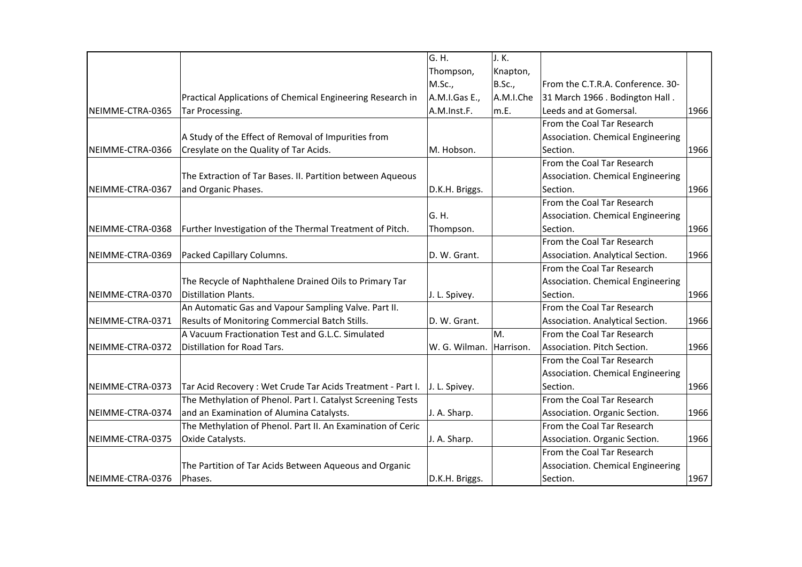|                  |                                                             | G. H.          | J. K.     |                                   |      |
|------------------|-------------------------------------------------------------|----------------|-----------|-----------------------------------|------|
|                  |                                                             | Thompson,      | Knapton,  |                                   |      |
|                  |                                                             | M.Sc.,         | B.Sc.,    | From the C.T.R.A. Conference. 30- |      |
|                  | Practical Applications of Chemical Engineering Research in  | A.M.I.Gas E.,  | A.M.I.Che | 31 March 1966 . Bodington Hall.   |      |
| NEIMME-CTRA-0365 | Tar Processing.                                             | A.M.Inst.F.    | m.E.      | Leeds and at Gomersal.            | 1966 |
|                  |                                                             |                |           | From the Coal Tar Research        |      |
|                  | A Study of the Effect of Removal of Impurities from         |                |           | Association. Chemical Engineering |      |
| NEIMME-CTRA-0366 | Cresylate on the Quality of Tar Acids.                      | M. Hobson.     |           | Section.                          | 1966 |
|                  |                                                             |                |           | From the Coal Tar Research        |      |
|                  | The Extraction of Tar Bases. II. Partition between Aqueous  |                |           | Association. Chemical Engineering |      |
| NEIMME-CTRA-0367 | and Organic Phases.                                         | D.K.H. Briggs. |           | Section.                          | 1966 |
|                  |                                                             |                |           | From the Coal Tar Research        |      |
|                  |                                                             | lG. H.         |           | Association. Chemical Engineering |      |
| NEIMME-CTRA-0368 | Further Investigation of the Thermal Treatment of Pitch.    | Thompson.      |           | Section.                          | 1966 |
|                  |                                                             |                |           | From the Coal Tar Research        |      |
| NEIMME-CTRA-0369 | Packed Capillary Columns.                                   | D. W. Grant.   |           | Association. Analytical Section.  | 1966 |
|                  |                                                             |                |           | From the Coal Tar Research        |      |
|                  | The Recycle of Naphthalene Drained Oils to Primary Tar      |                |           | Association. Chemical Engineering |      |
| NEIMME-CTRA-0370 | Distillation Plants.                                        | J. L. Spivey.  |           | Section.                          | 1966 |
|                  | An Automatic Gas and Vapour Sampling Valve. Part II.        |                |           | From the Coal Tar Research        |      |
| NEIMME-CTRA-0371 | Results of Monitoring Commercial Batch Stills.              | D. W. Grant.   |           | Association. Analytical Section.  | 1966 |
|                  | A Vacuum Fractionation Test and G.L.C. Simulated            |                | M.        | From the Coal Tar Research        |      |
| NEIMME-CTRA-0372 | Distillation for Road Tars.                                 | W. G. Wilman.  | Harrison. | Association. Pitch Section.       | 1966 |
|                  |                                                             |                |           | From the Coal Tar Research        |      |
|                  |                                                             |                |           | Association. Chemical Engineering |      |
| NEIMME-CTRA-0373 | Tar Acid Recovery: Wet Crude Tar Acids Treatment - Part I.  | J. L. Spivey.  |           | Section.                          | 1966 |
|                  | The Methylation of Phenol. Part I. Catalyst Screening Tests |                |           | From the Coal Tar Research        |      |
| NEIMME-CTRA-0374 | and an Examination of Alumina Catalysts.                    | J. A. Sharp.   |           | Association. Organic Section.     | 1966 |
|                  | The Methylation of Phenol. Part II. An Examination of Ceric |                |           | From the Coal Tar Research        |      |
| NEIMME-CTRA-0375 | Oxide Catalysts.                                            | J. A. Sharp.   |           | Association. Organic Section.     | 1966 |
|                  |                                                             |                |           | From the Coal Tar Research        |      |
|                  | The Partition of Tar Acids Between Aqueous and Organic      |                |           | Association. Chemical Engineering |      |
| NEIMME-CTRA-0376 | Phases.                                                     | D.K.H. Briggs. |           | Section.                          | 1967 |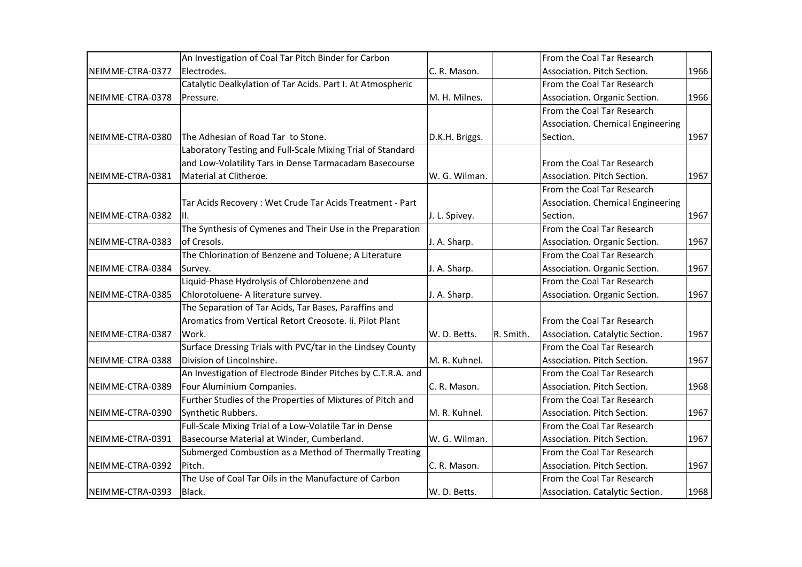|                  | An Investigation of Coal Tar Pitch Binder for Carbon         |                |           | From the Coal Tar Research        |      |
|------------------|--------------------------------------------------------------|----------------|-----------|-----------------------------------|------|
| NEIMME-CTRA-0377 | Electrodes.                                                  | C. R. Mason.   |           | Association. Pitch Section.       | 1966 |
|                  | Catalytic Dealkylation of Tar Acids. Part I. At Atmospheric  |                |           | From the Coal Tar Research        |      |
| NEIMME-CTRA-0378 | Pressure.                                                    | M. H. Milnes.  |           | Association. Organic Section.     | 1966 |
|                  |                                                              |                |           | From the Coal Tar Research        |      |
|                  |                                                              |                |           | Association. Chemical Engineering |      |
| NEIMME-CTRA-0380 | The Adhesian of Road Tar to Stone.                           | D.K.H. Briggs. |           | Section.                          | 1967 |
|                  | Laboratory Testing and Full-Scale Mixing Trial of Standard   |                |           |                                   |      |
|                  | and Low-Volatility Tars in Dense Tarmacadam Basecourse       |                |           | From the Coal Tar Research        |      |
| NEIMME-CTRA-0381 | Material at Clitheroe.                                       | W. G. Wilman.  |           | Association. Pitch Section.       | 1967 |
|                  |                                                              |                |           | From the Coal Tar Research        |      |
|                  | Tar Acids Recovery: Wet Crude Tar Acids Treatment - Part     |                |           | Association. Chemical Engineering |      |
| NEIMME-CTRA-0382 | III.                                                         | J. L. Spivey.  |           | Section.                          | 1967 |
|                  | The Synthesis of Cymenes and Their Use in the Preparation    |                |           | From the Coal Tar Research        |      |
| NEIMME-CTRA-0383 | of Cresols.                                                  | J. A. Sharp.   |           | Association. Organic Section.     | 1967 |
|                  | The Chlorination of Benzene and Toluene; A Literature        |                |           | From the Coal Tar Research        |      |
| NEIMME-CTRA-0384 | Survey.                                                      | J. A. Sharp.   |           | Association. Organic Section.     | 1967 |
|                  | Liquid-Phase Hydrolysis of Chlorobenzene and                 |                |           | From the Coal Tar Research        |      |
| NEIMME-CTRA-0385 | Chlorotoluene- A literature survey.                          | J. A. Sharp.   |           | Association. Organic Section.     | 1967 |
|                  | The Separation of Tar Acids, Tar Bases, Paraffins and        |                |           |                                   |      |
|                  | Aromatics from Vertical Retort Creosote. Ii. Pilot Plant     |                |           | From the Coal Tar Research        |      |
| NEIMME-CTRA-0387 | Work.                                                        | W. D. Betts.   | R. Smith. | Association. Catalytic Section.   | 1967 |
|                  | Surface Dressing Trials with PVC/tar in the Lindsey County   |                |           | From the Coal Tar Research        |      |
| NEIMME-CTRA-0388 | Division of Lincolnshire.                                    | M. R. Kuhnel.  |           | Association. Pitch Section.       | 1967 |
|                  | An Investigation of Electrode Binder Pitches by C.T.R.A. and |                |           | From the Coal Tar Research        |      |
| NEIMME-CTRA-0389 | Four Aluminium Companies.                                    | C. R. Mason.   |           | Association. Pitch Section.       | 1968 |
|                  | Further Studies of the Properties of Mixtures of Pitch and   |                |           | From the Coal Tar Research        |      |
| NEIMME-CTRA-0390 | Synthetic Rubbers.                                           | M. R. Kuhnel.  |           | Association. Pitch Section.       | 1967 |
|                  | Full-Scale Mixing Trial of a Low-Volatile Tar in Dense       |                |           | From the Coal Tar Research        |      |
| NEIMME-CTRA-0391 | Basecourse Material at Winder, Cumberland.                   | W. G. Wilman.  |           | Association. Pitch Section.       | 1967 |
|                  | Submerged Combustion as a Method of Thermally Treating       |                |           | From the Coal Tar Research        |      |
| NEIMME-CTRA-0392 | Pitch.                                                       | C. R. Mason.   |           | Association. Pitch Section.       | 1967 |
|                  | The Use of Coal Tar Oils in the Manufacture of Carbon        |                |           | From the Coal Tar Research        |      |
| NEIMME-CTRA-0393 | Black.                                                       | W. D. Betts.   |           | Association. Catalytic Section.   | 1968 |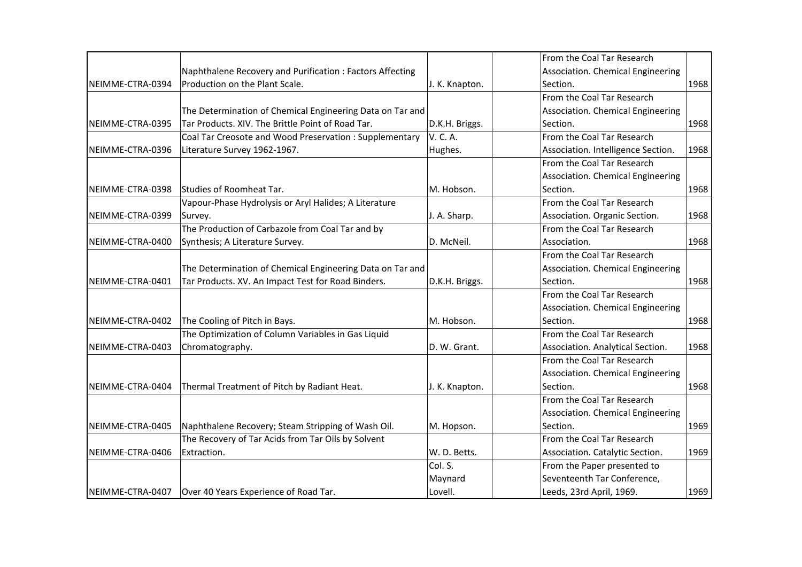|                  |                                                           |                | From the Coal Tar Research         |      |
|------------------|-----------------------------------------------------------|----------------|------------------------------------|------|
|                  | Naphthalene Recovery and Purification: Factors Affecting  |                | Association. Chemical Engineering  |      |
| NEIMME-CTRA-0394 | Production on the Plant Scale.                            | J. K. Knapton. | Section.                           | 1968 |
|                  |                                                           |                | From the Coal Tar Research         |      |
|                  | The Determination of Chemical Engineering Data on Tar and |                | Association. Chemical Engineering  |      |
| NEIMME-CTRA-0395 | Tar Products. XIV. The Brittle Point of Road Tar.         | D.K.H. Briggs. | Section.                           | 1968 |
|                  | Coal Tar Creosote and Wood Preservation : Supplementary   | V. C. A.       | From the Coal Tar Research         |      |
| NEIMME-CTRA-0396 | Literature Survey 1962-1967.                              | Hughes.        | Association. Intelligence Section. | 1968 |
|                  |                                                           |                | From the Coal Tar Research         |      |
|                  |                                                           |                | Association. Chemical Engineering  |      |
| NEIMME-CTRA-0398 | Studies of Roomheat Tar.                                  | M. Hobson.     | Section.                           | 1968 |
|                  | Vapour-Phase Hydrolysis or Aryl Halides; A Literature     |                | From the Coal Tar Research         |      |
| NEIMME-CTRA-0399 | Survey.                                                   | J. A. Sharp.   | Association. Organic Section.      | 1968 |
|                  | The Production of Carbazole from Coal Tar and by          |                | From the Coal Tar Research         |      |
| NEIMME-CTRA-0400 | Synthesis; A Literature Survey.                           | D. McNeil.     | Association.                       | 1968 |
|                  |                                                           |                | From the Coal Tar Research         |      |
|                  | The Determination of Chemical Engineering Data on Tar and |                | Association. Chemical Engineering  |      |
| NEIMME-CTRA-0401 | Tar Products. XV. An Impact Test for Road Binders.        | D.K.H. Briggs. | Section.                           | 1968 |
|                  |                                                           |                | From the Coal Tar Research         |      |
|                  |                                                           |                | Association. Chemical Engineering  |      |
| NEIMME-CTRA-0402 | The Cooling of Pitch in Bays.                             | M. Hobson.     | Section.                           | 1968 |
|                  | The Optimization of Column Variables in Gas Liquid        |                | From the Coal Tar Research         |      |
| NEIMME-CTRA-0403 | Chromatography.                                           | D. W. Grant.   | Association. Analytical Section.   | 1968 |
|                  |                                                           |                | From the Coal Tar Research         |      |
|                  |                                                           |                | Association. Chemical Engineering  |      |
| NEIMME-CTRA-0404 | Thermal Treatment of Pitch by Radiant Heat.               | J. K. Knapton. | Section.                           | 1968 |
|                  |                                                           |                | From the Coal Tar Research         |      |
|                  |                                                           |                | Association. Chemical Engineering  |      |
| NEIMME-CTRA-0405 | Naphthalene Recovery; Steam Stripping of Wash Oil.        | M. Hopson.     | Section.                           | 1969 |
|                  | The Recovery of Tar Acids from Tar Oils by Solvent        |                | From the Coal Tar Research         |      |
| NEIMME-CTRA-0406 | Extraction.                                               | W. D. Betts.   | Association. Catalytic Section.    | 1969 |
|                  |                                                           | Col. S.        | From the Paper presented to        |      |
|                  |                                                           | Maynard        | Seventeenth Tar Conference,        |      |
| NEIMME-CTRA-0407 | Over 40 Years Experience of Road Tar.                     | Lovell.        | Leeds, 23rd April, 1969.           | 1969 |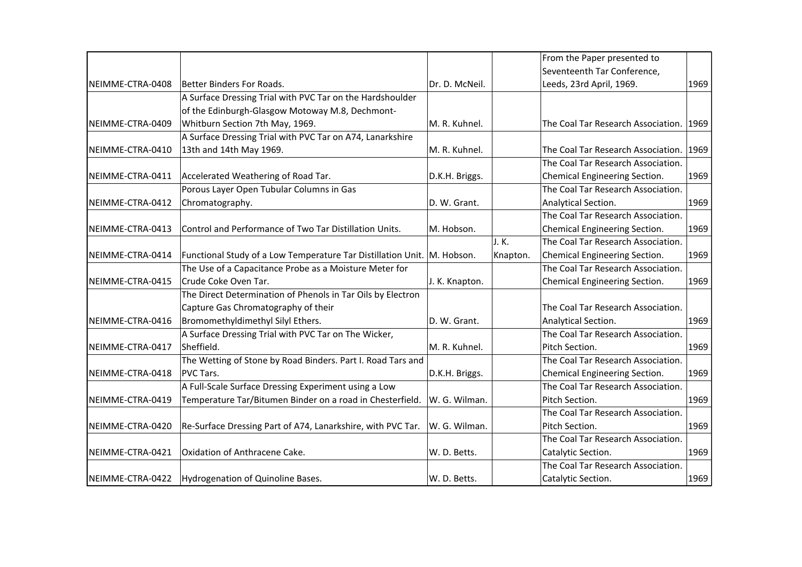|                  |                                                                         |                |          | From the Paper presented to        |      |
|------------------|-------------------------------------------------------------------------|----------------|----------|------------------------------------|------|
|                  |                                                                         |                |          | Seventeenth Tar Conference,        |      |
| NEIMME-CTRA-0408 | Better Binders For Roads.                                               | Dr. D. McNeil. |          | Leeds, 23rd April, 1969.           | 1969 |
|                  | A Surface Dressing Trial with PVC Tar on the Hardshoulder               |                |          |                                    |      |
|                  | of the Edinburgh-Glasgow Motoway M.8, Dechmont-                         |                |          |                                    |      |
| NEIMME-CTRA-0409 | Whitburn Section 7th May, 1969.                                         | M. R. Kuhnel.  |          | The Coal Tar Research Association. | 1969 |
|                  | A Surface Dressing Trial with PVC Tar on A74, Lanarkshire               |                |          |                                    |      |
| NEIMME-CTRA-0410 | 13th and 14th May 1969.                                                 | M. R. Kuhnel.  |          | The Coal Tar Research Association. | 1969 |
|                  |                                                                         |                |          | The Coal Tar Research Association. |      |
| NEIMME-CTRA-0411 | Accelerated Weathering of Road Tar.                                     | D.K.H. Briggs. |          | Chemical Engineering Section.      | 1969 |
|                  | Porous Layer Open Tubular Columns in Gas                                |                |          | The Coal Tar Research Association. |      |
| NEIMME-CTRA-0412 | Chromatography.                                                         | D. W. Grant.   |          | Analytical Section.                | 1969 |
|                  |                                                                         |                |          | The Coal Tar Research Association. |      |
| NEIMME-CTRA-0413 | Control and Performance of Two Tar Distillation Units.                  | M. Hobson.     |          | Chemical Engineering Section.      | 1969 |
|                  |                                                                         |                | J. K.    | The Coal Tar Research Association. |      |
| NEIMME-CTRA-0414 | Functional Study of a Low Temperature Tar Distillation Unit. M. Hobson. |                | Knapton. | Chemical Engineering Section.      | 1969 |
|                  | The Use of a Capacitance Probe as a Moisture Meter for                  |                |          | The Coal Tar Research Association. |      |
| NEIMME-CTRA-0415 | Crude Coke Oven Tar.                                                    | J. K. Knapton. |          | Chemical Engineering Section.      | 1969 |
|                  | The Direct Determination of Phenols in Tar Oils by Electron             |                |          |                                    |      |
|                  | Capture Gas Chromatography of their                                     |                |          | The Coal Tar Research Association. |      |
| NEIMME-CTRA-0416 | Bromomethyldimethyl Silyl Ethers.                                       | D. W. Grant.   |          | Analytical Section.                | 1969 |
|                  | A Surface Dressing Trial with PVC Tar on The Wicker,                    |                |          | The Coal Tar Research Association. |      |
| NEIMME-CTRA-0417 | Sheffield.                                                              | M. R. Kuhnel.  |          | Pitch Section.                     | 1969 |
|                  | The Wetting of Stone by Road Binders. Part I. Road Tars and             |                |          | The Coal Tar Research Association. |      |
| NEIMME-CTRA-0418 | PVC Tars.                                                               | D.K.H. Briggs. |          | Chemical Engineering Section.      | 1969 |
|                  | A Full-Scale Surface Dressing Experiment using a Low                    |                |          | The Coal Tar Research Association. |      |
| NEIMME-CTRA-0419 | Temperature Tar/Bitumen Binder on a road in Chesterfield.               | W. G. Wilman.  |          | Pitch Section.                     | 1969 |
|                  |                                                                         |                |          | The Coal Tar Research Association. |      |
| NEIMME-CTRA-0420 | Re-Surface Dressing Part of A74, Lanarkshire, with PVC Tar.             | W. G. Wilman.  |          | Pitch Section.                     | 1969 |
|                  |                                                                         |                |          | The Coal Tar Research Association. |      |
| NEIMME-CTRA-0421 | Oxidation of Anthracene Cake.                                           | W. D. Betts.   |          | Catalytic Section.                 | 1969 |
|                  |                                                                         |                |          | The Coal Tar Research Association. |      |
| NEIMME-CTRA-0422 | Hydrogenation of Quinoline Bases.                                       | W. D. Betts.   |          | Catalytic Section.                 | 1969 |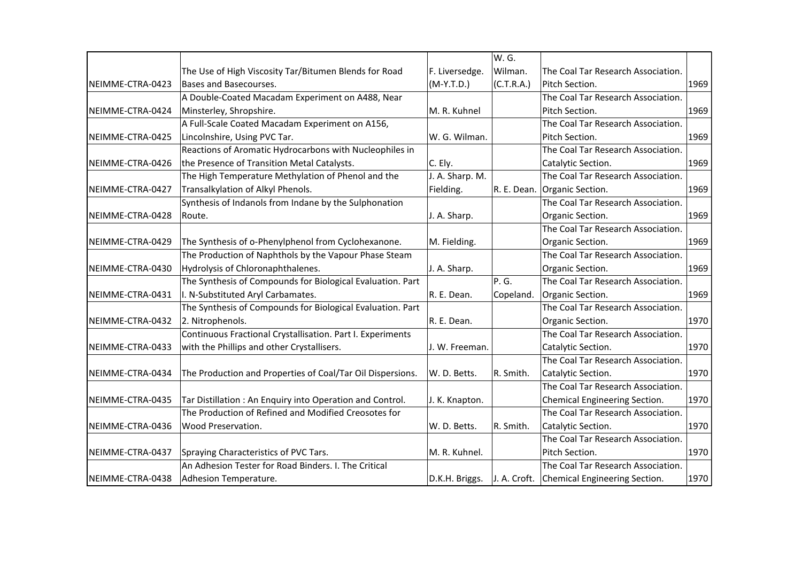|                  |                                                            |                 | W. G.      |                                            |      |
|------------------|------------------------------------------------------------|-----------------|------------|--------------------------------------------|------|
|                  | The Use of High Viscosity Tar/Bitumen Blends for Road      | F. Liversedge.  | Wilman.    | The Coal Tar Research Association.         |      |
| NEIMME-CTRA-0423 | Bases and Basecourses.                                     | $(M-Y.T.D.)$    | (C.T.R.A.) | Pitch Section.                             | 1969 |
|                  | A Double-Coated Macadam Experiment on A488, Near           |                 |            | The Coal Tar Research Association.         |      |
| NEIMME-CTRA-0424 | Minsterley, Shropshire.                                    | M. R. Kuhnel    |            | Pitch Section.                             | 1969 |
|                  | A Full-Scale Coated Macadam Experiment on A156,            |                 |            | The Coal Tar Research Association.         |      |
| NEIMME-CTRA-0425 | Lincolnshire, Using PVC Tar.                               | W. G. Wilman.   |            | Pitch Section.                             | 1969 |
|                  | Reactions of Aromatic Hydrocarbons with Nucleophiles in    |                 |            | The Coal Tar Research Association.         |      |
| NEIMME-CTRA-0426 | the Presence of Transition Metal Catalysts.                | C. Ely.         |            | Catalytic Section.                         | 1969 |
|                  | The High Temperature Methylation of Phenol and the         | J. A. Sharp. M. |            | The Coal Tar Research Association.         |      |
| NEIMME-CTRA-0427 | Transalkylation of Alkyl Phenols.                          | Fielding.       |            | R. E. Dean. Organic Section.               | 1969 |
|                  | Synthesis of Indanols from Indane by the Sulphonation      |                 |            | The Coal Tar Research Association.         |      |
| NEIMME-CTRA-0428 | Route.                                                     | J. A. Sharp.    |            | Organic Section.                           | 1969 |
|                  |                                                            |                 |            | The Coal Tar Research Association.         |      |
| NEIMME-CTRA-0429 | The Synthesis of o-Phenylphenol from Cyclohexanone.        | M. Fielding.    |            | Organic Section.                           | 1969 |
|                  | The Production of Naphthols by the Vapour Phase Steam      |                 |            | The Coal Tar Research Association.         |      |
| NEIMME-CTRA-0430 | Hydrolysis of Chloronaphthalenes.                          | J. A. Sharp.    |            | Organic Section.                           | 1969 |
|                  | The Synthesis of Compounds for Biological Evaluation. Part |                 | P. G.      | The Coal Tar Research Association.         |      |
| NEIMME-CTRA-0431 | I. N-Substituted Aryl Carbamates.                          | R. E. Dean.     | Copeland.  | Organic Section.                           | 1969 |
|                  | The Synthesis of Compounds for Biological Evaluation. Part |                 |            | The Coal Tar Research Association.         |      |
| NEIMME-CTRA-0432 | 2. Nitrophenols.                                           | R. E. Dean.     |            | Organic Section.                           | 1970 |
|                  | Continuous Fractional Crystallisation. Part I. Experiments |                 |            | The Coal Tar Research Association.         |      |
| NEIMME-CTRA-0433 | with the Phillips and other Crystallisers.                 | J. W. Freeman.  |            | Catalytic Section.                         | 1970 |
|                  |                                                            |                 |            | The Coal Tar Research Association.         |      |
| NEIMME-CTRA-0434 | The Production and Properties of Coal/Tar Oil Dispersions. | W. D. Betts.    | R. Smith.  | Catalytic Section.                         | 1970 |
|                  |                                                            |                 |            | The Coal Tar Research Association.         |      |
| NEIMME-CTRA-0435 | Tar Distillation: An Enquiry into Operation and Control.   | J. K. Knapton.  |            | Chemical Engineering Section.              | 1970 |
|                  | The Production of Refined and Modified Creosotes for       |                 |            | The Coal Tar Research Association.         |      |
| NEIMME-CTRA-0436 | <b>Wood Preservation.</b>                                  | W. D. Betts.    | R. Smith.  | Catalytic Section.                         | 1970 |
|                  |                                                            |                 |            | The Coal Tar Research Association.         |      |
| NEIMME-CTRA-0437 | Spraying Characteristics of PVC Tars.                      | M. R. Kuhnel.   |            | Pitch Section.                             | 1970 |
|                  | An Adhesion Tester for Road Binders. I. The Critical       |                 |            | The Coal Tar Research Association.         |      |
| NEIMME-CTRA-0438 | Adhesion Temperature.                                      | D.K.H. Briggs.  |            | J. A. Croft. Chemical Engineering Section. | 1970 |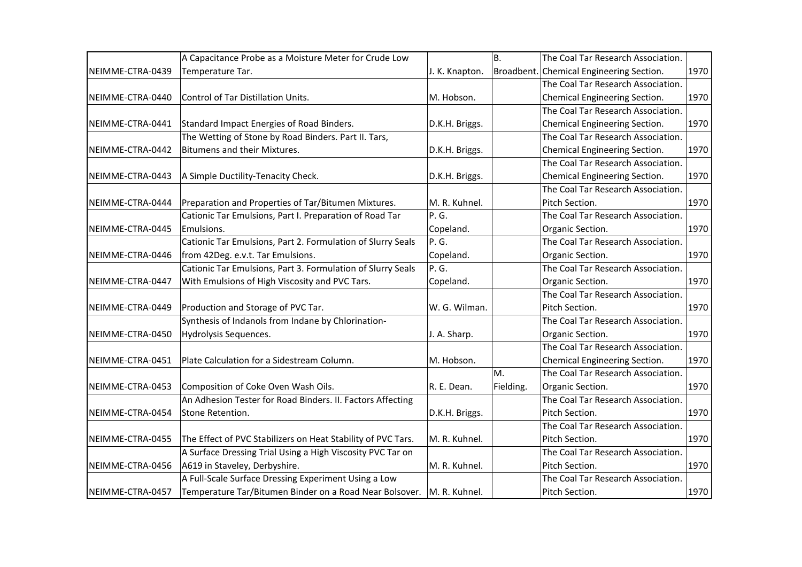|                  | A Capacitance Probe as a Moisture Meter for Crude Low                   |                | B.        | The Coal Tar Research Association.       |      |
|------------------|-------------------------------------------------------------------------|----------------|-----------|------------------------------------------|------|
| NEIMME-CTRA-0439 | Temperature Tar.                                                        | J. K. Knapton. |           | Broadbent. Chemical Engineering Section. | 1970 |
|                  |                                                                         |                |           | The Coal Tar Research Association.       |      |
| NEIMME-CTRA-0440 | Control of Tar Distillation Units.                                      | M. Hobson.     |           | Chemical Engineering Section.            | 1970 |
|                  |                                                                         |                |           | The Coal Tar Research Association.       |      |
| NEIMME-CTRA-0441 | Standard Impact Energies of Road Binders.                               | D.K.H. Briggs. |           | Chemical Engineering Section.            | 1970 |
|                  | The Wetting of Stone by Road Binders. Part II. Tars,                    |                |           | The Coal Tar Research Association.       |      |
| NEIMME-CTRA-0442 | Bitumens and their Mixtures.                                            | D.K.H. Briggs. |           | Chemical Engineering Section.            | 1970 |
|                  |                                                                         |                |           | The Coal Tar Research Association.       |      |
| NEIMME-CTRA-0443 | A Simple Ductility-Tenacity Check.                                      | D.K.H. Briggs. |           | Chemical Engineering Section.            | 1970 |
|                  |                                                                         |                |           | The Coal Tar Research Association.       |      |
| NEIMME-CTRA-0444 | Preparation and Properties of Tar/Bitumen Mixtures.                     | M. R. Kuhnel.  |           | Pitch Section.                           | 1970 |
|                  | Cationic Tar Emulsions, Part I. Preparation of Road Tar                 | P.G.           |           | The Coal Tar Research Association.       |      |
| NEIMME-CTRA-0445 | Emulsions.                                                              | Copeland.      |           | Organic Section.                         | 1970 |
|                  | Cationic Tar Emulsions, Part 2. Formulation of Slurry Seals             | P.G.           |           | The Coal Tar Research Association.       |      |
| NEIMME-CTRA-0446 | from 42Deg. e.v.t. Tar Emulsions.                                       | Copeland.      |           | Organic Section.                         | 1970 |
|                  | Cationic Tar Emulsions, Part 3. Formulation of Slurry Seals             | P.G.           |           | The Coal Tar Research Association.       |      |
| NEIMME-CTRA-0447 | With Emulsions of High Viscosity and PVC Tars.                          | Copeland.      |           | Organic Section.                         | 1970 |
|                  |                                                                         |                |           | The Coal Tar Research Association.       |      |
| NEIMME-CTRA-0449 | Production and Storage of PVC Tar.                                      | W. G. Wilman.  |           | Pitch Section.                           | 1970 |
|                  | Synthesis of Indanols from Indane by Chlorination-                      |                |           | The Coal Tar Research Association.       |      |
| NEIMME-CTRA-0450 | Hydrolysis Sequences.                                                   | J. A. Sharp.   |           | Organic Section.                         | 1970 |
|                  |                                                                         |                |           | The Coal Tar Research Association.       |      |
| NEIMME-CTRA-0451 | Plate Calculation for a Sidestream Column.                              | M. Hobson.     |           | Chemical Engineering Section.            | 1970 |
|                  |                                                                         |                | M.        | The Coal Tar Research Association.       |      |
| NEIMME-CTRA-0453 | Composition of Coke Oven Wash Oils.                                     | R. E. Dean.    | Fielding. | Organic Section.                         | 1970 |
|                  | An Adhesion Tester for Road Binders. II. Factors Affecting              |                |           | The Coal Tar Research Association.       |      |
| NEIMME-CTRA-0454 | Stone Retention.                                                        | D.K.H. Briggs. |           | Pitch Section.                           | 1970 |
|                  |                                                                         |                |           | The Coal Tar Research Association.       |      |
| NEIMME-CTRA-0455 | The Effect of PVC Stabilizers on Heat Stability of PVC Tars.            | M. R. Kuhnel.  |           | Pitch Section.                           | 1970 |
|                  | A Surface Dressing Trial Using a High Viscosity PVC Tar on              |                |           | The Coal Tar Research Association.       |      |
| NEIMME-CTRA-0456 | A619 in Staveley, Derbyshire.                                           | M. R. Kuhnel.  |           | Pitch Section.                           | 1970 |
|                  | A Full-Scale Surface Dressing Experiment Using a Low                    |                |           | The Coal Tar Research Association.       |      |
| NEIMME-CTRA-0457 | Temperature Tar/Bitumen Binder on a Road Near Bolsover.   M. R. Kuhnel. |                |           | Pitch Section.                           | 1970 |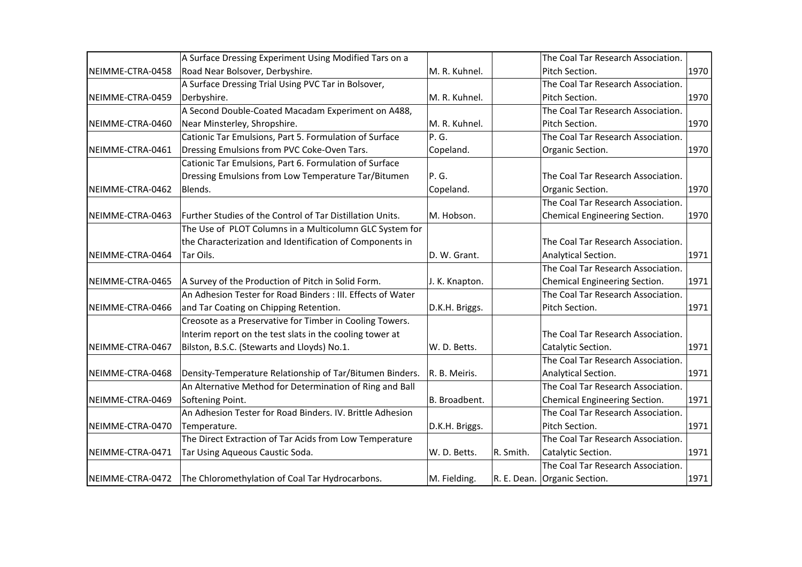|                  | A Surface Dressing Experiment Using Modified Tars on a      |                |           | The Coal Tar Research Association. |      |
|------------------|-------------------------------------------------------------|----------------|-----------|------------------------------------|------|
| NEIMME-CTRA-0458 | Road Near Bolsover, Derbyshire.                             | M. R. Kuhnel.  |           | Pitch Section.                     | 1970 |
|                  | A Surface Dressing Trial Using PVC Tar in Bolsover,         |                |           | The Coal Tar Research Association. |      |
| NEIMME-CTRA-0459 | Derbyshire.                                                 | M. R. Kuhnel.  |           | Pitch Section.                     | 1970 |
|                  | A Second Double-Coated Macadam Experiment on A488,          |                |           | The Coal Tar Research Association. |      |
| NEIMME-CTRA-0460 | Near Minsterley, Shropshire.                                | M. R. Kuhnel.  |           | Pitch Section.                     | 1970 |
|                  | Cationic Tar Emulsions, Part 5. Formulation of Surface      | P. G.          |           | The Coal Tar Research Association. |      |
| NEIMME-CTRA-0461 | Dressing Emulsions from PVC Coke-Oven Tars.                 | Copeland.      |           | Organic Section.                   | 1970 |
|                  | Cationic Tar Emulsions, Part 6. Formulation of Surface      |                |           |                                    |      |
|                  | Dressing Emulsions from Low Temperature Tar/Bitumen         | P. G.          |           | The Coal Tar Research Association. |      |
| NEIMME-CTRA-0462 | Blends.                                                     | Copeland.      |           | Organic Section.                   | 1970 |
|                  |                                                             |                |           | The Coal Tar Research Association. |      |
| NEIMME-CTRA-0463 | Further Studies of the Control of Tar Distillation Units.   | M. Hobson.     |           | Chemical Engineering Section.      | 1970 |
|                  | The Use of PLOT Columns in a Multicolumn GLC System for     |                |           |                                    |      |
|                  | the Characterization and Identification of Components in    |                |           | The Coal Tar Research Association. |      |
| NEIMME-CTRA-0464 | Tar Oils.                                                   | D. W. Grant.   |           | Analytical Section.                | 1971 |
|                  |                                                             |                |           | The Coal Tar Research Association. |      |
| NEIMME-CTRA-0465 | A Survey of the Production of Pitch in Solid Form.          | J. K. Knapton. |           | Chemical Engineering Section.      | 1971 |
|                  | An Adhesion Tester for Road Binders : III. Effects of Water |                |           | The Coal Tar Research Association. |      |
| NEIMME-CTRA-0466 | and Tar Coating on Chipping Retention.                      | D.K.H. Briggs. |           | Pitch Section.                     | 1971 |
|                  | Creosote as a Preservative for Timber in Cooling Towers.    |                |           |                                    |      |
|                  | Interim report on the test slats in the cooling tower at    |                |           | The Coal Tar Research Association. |      |
| NEIMME-CTRA-0467 | Bilston, B.S.C. (Stewarts and Lloyds) No.1.                 | W. D. Betts.   |           | Catalytic Section.                 | 1971 |
|                  |                                                             |                |           | The Coal Tar Research Association. |      |
| NEIMME-CTRA-0468 | Density-Temperature Relationship of Tar/Bitumen Binders.    | R. B. Meiris.  |           | Analytical Section.                | 1971 |
|                  | An Alternative Method for Determination of Ring and Ball    |                |           | The Coal Tar Research Association. |      |
| NEIMME-CTRA-0469 | Softening Point.                                            | B. Broadbent.  |           | Chemical Engineering Section.      | 1971 |
|                  | An Adhesion Tester for Road Binders. IV. Brittle Adhesion   |                |           | The Coal Tar Research Association. |      |
| NEIMME-CTRA-0470 | Temperature.                                                | D.K.H. Briggs. |           | Pitch Section.                     | 1971 |
|                  | The Direct Extraction of Tar Acids from Low Temperature     |                |           | The Coal Tar Research Association. |      |
| NEIMME-CTRA-0471 | Tar Using Aqueous Caustic Soda.                             | W. D. Betts.   | R. Smith. | Catalytic Section.                 | 1971 |
|                  |                                                             |                |           | The Coal Tar Research Association. |      |
| NEIMME-CTRA-0472 | The Chloromethylation of Coal Tar Hydrocarbons.             | M. Fielding.   |           | R. E. Dean. Organic Section.       | 1971 |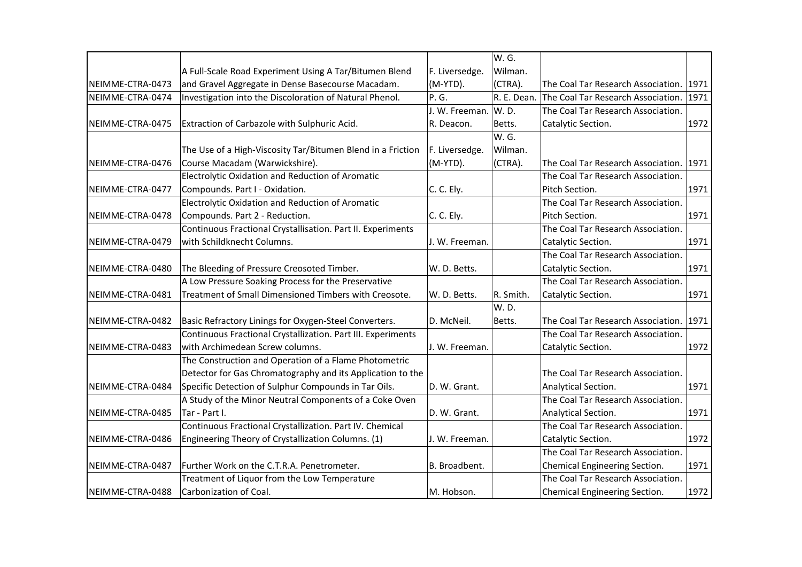| W. G.                                                                                                                                     |      |
|-------------------------------------------------------------------------------------------------------------------------------------------|------|
| F. Liversedge.<br>Wilman.<br>A Full-Scale Road Experiment Using A Tar/Bitumen Blend                                                       |      |
| and Gravel Aggregate in Dense Basecourse Macadam.<br>(M-YTD).<br>(CTRA).<br>NEIMME-CTRA-0473<br>The Coal Tar Research Association.        | 1971 |
| Investigation into the Discoloration of Natural Phenol.<br>P. G.<br>R. E. Dean.<br>NEIMME-CTRA-0474<br>The Coal Tar Research Association. | 1971 |
| J. W. Freeman.<br>W.D.<br>The Coal Tar Research Association.                                                                              |      |
| Extraction of Carbazole with Sulphuric Acid.<br>NEIMME-CTRA-0475<br>R. Deacon.<br>Betts.<br>Catalytic Section.                            | 1972 |
| W. G.                                                                                                                                     |      |
| F. Liversedge.<br>The Use of a High-Viscosity Tar/Bitumen Blend in a Friction<br>Wilman.                                                  |      |
| Course Macadam (Warwickshire).<br>NEIMME-CTRA-0476<br>(M-YTD).<br>(CTRA).<br>The Coal Tar Research Association.                           | 1971 |
| Electrolytic Oxidation and Reduction of Aromatic<br>The Coal Tar Research Association.                                                    |      |
| Compounds. Part I - Oxidation.<br>C. C. Ely.<br>Pitch Section.<br>NEIMME-CTRA-0477                                                        | 1971 |
| The Coal Tar Research Association.<br>Electrolytic Oxidation and Reduction of Aromatic                                                    |      |
| C. C. Ely.<br>NEIMME-CTRA-0478<br>Compounds. Part 2 - Reduction.<br>Pitch Section.                                                        | 1971 |
| Continuous Fractional Crystallisation. Part II. Experiments<br>The Coal Tar Research Association.                                         |      |
| NEIMME-CTRA-0479<br>with Schildknecht Columns.<br>J. W. Freeman.<br>Catalytic Section.                                                    | 1971 |
| The Coal Tar Research Association.                                                                                                        |      |
| The Bleeding of Pressure Creosoted Timber.<br>W. D. Betts.<br>NEIMME-CTRA-0480<br>Catalytic Section.                                      | 1971 |
| A Low Pressure Soaking Process for the Preservative<br>The Coal Tar Research Association.                                                 |      |
| Treatment of Small Dimensioned Timbers with Creosote.<br>R. Smith.<br>NEIMME-CTRA-0481<br>W. D. Betts.<br>Catalytic Section.              | 1971 |
| W.D.                                                                                                                                      |      |
| NEIMME-CTRA-0482<br>Basic Refractory Linings for Oxygen-Steel Converters.<br>D. McNeil.<br>Betts.<br>The Coal Tar Research Association.   | 1971 |
| Continuous Fractional Crystallization. Part III. Experiments<br>The Coal Tar Research Association.                                        |      |
| with Archimedean Screw columns.<br>NEIMME-CTRA-0483<br>J. W. Freeman.<br>Catalytic Section.                                               | 1972 |
| The Construction and Operation of a Flame Photometric                                                                                     |      |
| Detector for Gas Chromatography and its Application to the<br>The Coal Tar Research Association.                                          |      |
| Specific Detection of Sulphur Compounds in Tar Oils.<br>NEIMME-CTRA-0484<br>D. W. Grant.<br>Analytical Section.                           | 1971 |
| A Study of the Minor Neutral Components of a Coke Oven<br>The Coal Tar Research Association.                                              |      |
| NEIMME-CTRA-0485<br>Tar - Part I.<br>D. W. Grant.<br>Analytical Section.                                                                  | 1971 |
| Continuous Fractional Crystallization. Part IV. Chemical<br>The Coal Tar Research Association.                                            |      |
| Engineering Theory of Crystallization Columns. (1)<br>NEIMME-CTRA-0486<br>J. W. Freeman.<br>Catalytic Section.                            | 1972 |
| The Coal Tar Research Association.                                                                                                        |      |
| B. Broadbent.<br>NEIMME-CTRA-0487<br>Further Work on the C.T.R.A. Penetrometer.<br>Chemical Engineering Section.                          | 1971 |
| Treatment of Liquor from the Low Temperature<br>The Coal Tar Research Association.                                                        |      |
| NEIMME-CTRA-0488<br>Carbonization of Coal.<br>M. Hobson.<br>Chemical Engineering Section.                                                 |      |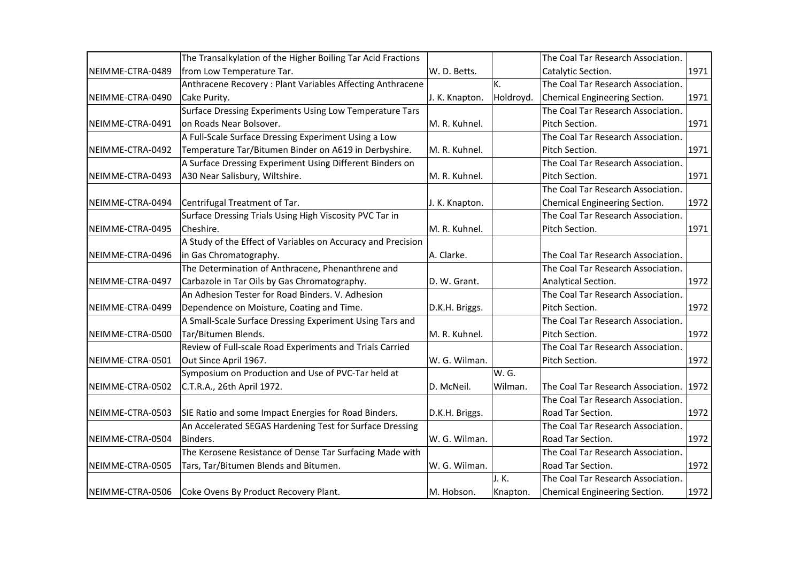|                  | The Transalkylation of the Higher Boiling Tar Acid Fractions |                |           | The Coal Tar Research Association. |      |
|------------------|--------------------------------------------------------------|----------------|-----------|------------------------------------|------|
| NEIMME-CTRA-0489 | from Low Temperature Tar.                                    | W. D. Betts.   |           | Catalytic Section.                 | 1971 |
|                  | Anthracene Recovery: Plant Variables Affecting Anthracene    |                | K.        | The Coal Tar Research Association. |      |
| NEIMME-CTRA-0490 | Cake Purity.                                                 | J. K. Knapton. | Holdroyd. | Chemical Engineering Section.      | 1971 |
|                  | Surface Dressing Experiments Using Low Temperature Tars      |                |           | The Coal Tar Research Association. |      |
| NEIMME-CTRA-0491 | on Roads Near Bolsover.                                      | M. R. Kuhnel.  |           | Pitch Section.                     | 1971 |
|                  | A Full-Scale Surface Dressing Experiment Using a Low         |                |           | The Coal Tar Research Association. |      |
| NEIMME-CTRA-0492 | Temperature Tar/Bitumen Binder on A619 in Derbyshire.        | M. R. Kuhnel.  |           | Pitch Section.                     | 1971 |
|                  | A Surface Dressing Experiment Using Different Binders on     |                |           | The Coal Tar Research Association. |      |
| NEIMME-CTRA-0493 | A30 Near Salisbury, Wiltshire.                               | M. R. Kuhnel.  |           | Pitch Section.                     | 1971 |
|                  |                                                              |                |           | The Coal Tar Research Association. |      |
| NEIMME-CTRA-0494 | Centrifugal Treatment of Tar.                                | J. K. Knapton. |           | Chemical Engineering Section.      | 1972 |
|                  | Surface Dressing Trials Using High Viscosity PVC Tar in      |                |           | The Coal Tar Research Association. |      |
| NEIMME-CTRA-0495 | Cheshire.                                                    | M. R. Kuhnel.  |           | Pitch Section.                     | 1971 |
|                  | A Study of the Effect of Variables on Accuracy and Precision |                |           |                                    |      |
| NEIMME-CTRA-0496 | in Gas Chromatography.                                       | A. Clarke.     |           | The Coal Tar Research Association. |      |
|                  | The Determination of Anthracene, Phenanthrene and            |                |           | The Coal Tar Research Association. |      |
| NEIMME-CTRA-0497 | Carbazole in Tar Oils by Gas Chromatography.                 | D. W. Grant.   |           | Analytical Section.                | 1972 |
|                  | An Adhesion Tester for Road Binders. V. Adhesion             |                |           | The Coal Tar Research Association. |      |
| NEIMME-CTRA-0499 | Dependence on Moisture, Coating and Time.                    | D.K.H. Briggs. |           | Pitch Section.                     | 1972 |
|                  | A Small-Scale Surface Dressing Experiment Using Tars and     |                |           | The Coal Tar Research Association. |      |
| NEIMME-CTRA-0500 | Tar/Bitumen Blends.                                          | M. R. Kuhnel.  |           | Pitch Section.                     | 1972 |
|                  | Review of Full-scale Road Experiments and Trials Carried     |                |           | The Coal Tar Research Association. |      |
| NEIMME-CTRA-0501 | Out Since April 1967.                                        | W. G. Wilman.  |           | Pitch Section.                     | 1972 |
|                  | Symposium on Production and Use of PVC-Tar held at           |                | W. G.     |                                    |      |
| NEIMME-CTRA-0502 | C.T.R.A., 26th April 1972.                                   | D. McNeil.     | Wilman.   | The Coal Tar Research Association. | 1972 |
|                  |                                                              |                |           | The Coal Tar Research Association. |      |
| NEIMME-CTRA-0503 | SIE Ratio and some Impact Energies for Road Binders.         | D.K.H. Briggs. |           | Road Tar Section.                  | 1972 |
|                  | An Accelerated SEGAS Hardening Test for Surface Dressing     |                |           | The Coal Tar Research Association. |      |
| NEIMME-CTRA-0504 | Binders.                                                     | W. G. Wilman.  |           | Road Tar Section.                  | 1972 |
|                  | The Kerosene Resistance of Dense Tar Surfacing Made with     |                |           | The Coal Tar Research Association. |      |
| NEIMME-CTRA-0505 | Tars, Tar/Bitumen Blends and Bitumen.                        | W. G. Wilman.  |           | Road Tar Section.                  | 1972 |
|                  |                                                              |                | J. K.     | The Coal Tar Research Association. |      |
| NEIMME-CTRA-0506 | Coke Ovens By Product Recovery Plant.                        | M. Hobson.     | Knapton.  | Chemical Engineering Section.      | 1972 |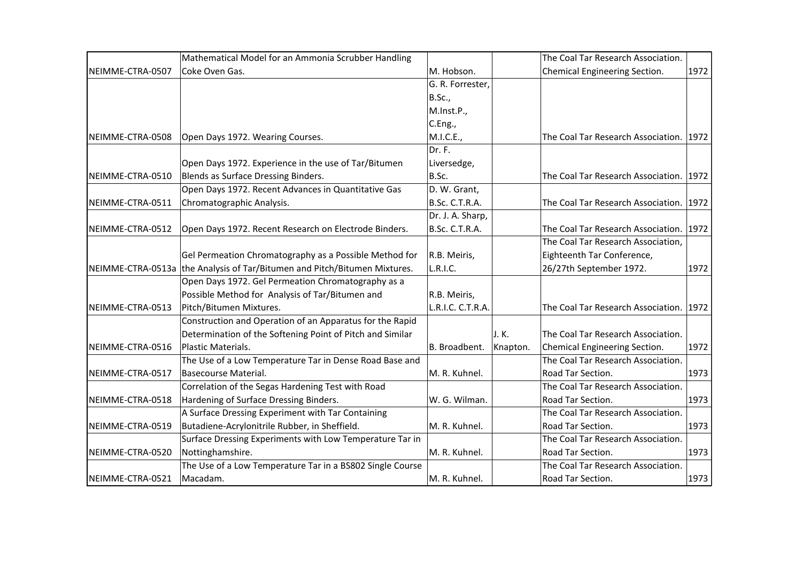|                  | Mathematical Model for an Ammonia Scrubber Handling                       |                   |          | The Coal Tar Research Association.      |      |
|------------------|---------------------------------------------------------------------------|-------------------|----------|-----------------------------------------|------|
| NEIMME-CTRA-0507 | Coke Oven Gas.                                                            | M. Hobson.        |          | Chemical Engineering Section.           | 1972 |
|                  |                                                                           | G. R. Forrester,  |          |                                         |      |
|                  |                                                                           | <b>B.Sc.,</b>     |          |                                         |      |
|                  |                                                                           | M.Inst.P.,        |          |                                         |      |
|                  |                                                                           | C.Eng.,           |          |                                         |      |
| NEIMME-CTRA-0508 | Open Days 1972. Wearing Courses.                                          | M.I.C.E.,         |          | The Coal Tar Research Association. 1972 |      |
|                  |                                                                           | Dr. F.            |          |                                         |      |
|                  | Open Days 1972. Experience in the use of Tar/Bitumen                      | Liversedge,       |          |                                         |      |
| NEIMME-CTRA-0510 | Blends as Surface Dressing Binders.                                       | B.Sc.             |          | The Coal Tar Research Association. 1972 |      |
|                  | Open Days 1972. Recent Advances in Quantitative Gas                       | D. W. Grant,      |          |                                         |      |
| NEIMME-CTRA-0511 | Chromatographic Analysis.                                                 | B.Sc. C.T.R.A.    |          | The Coal Tar Research Association. 1972 |      |
|                  |                                                                           | Dr. J. A. Sharp,  |          |                                         |      |
| NEIMME-CTRA-0512 | Open Days 1972. Recent Research on Electrode Binders.                     | B.Sc. C.T.R.A.    |          | The Coal Tar Research Association. 1972 |      |
|                  |                                                                           |                   |          | The Coal Tar Research Association,      |      |
|                  | Gel Permeation Chromatography as a Possible Method for                    | R.B. Meiris,      |          | Eighteenth Tar Conference,              |      |
|                  | NEIMME-CTRA-0513a the Analysis of Tar/Bitumen and Pitch/Bitumen Mixtures. | L.R.I.C.          |          | 26/27th September 1972.                 | 1972 |
|                  | Open Days 1972. Gel Permeation Chromatography as a                        |                   |          |                                         |      |
|                  | Possible Method for Analysis of Tar/Bitumen and                           | R.B. Meiris,      |          |                                         |      |
| NEIMME-CTRA-0513 | Pitch/Bitumen Mixtures.                                                   | L.R.I.C. C.T.R.A. |          | The Coal Tar Research Association. 1972 |      |
|                  | Construction and Operation of an Apparatus for the Rapid                  |                   |          |                                         |      |
|                  | Determination of the Softening Point of Pitch and Similar                 |                   | J.K.     | The Coal Tar Research Association.      |      |
| NEIMME-CTRA-0516 | Plastic Materials.                                                        | B. Broadbent.     | Knapton. | Chemical Engineering Section.           | 1972 |
|                  | The Use of a Low Temperature Tar in Dense Road Base and                   |                   |          | The Coal Tar Research Association.      |      |
| NEIMME-CTRA-0517 | Basecourse Material.                                                      | M. R. Kuhnel.     |          | Road Tar Section.                       | 1973 |
|                  | Correlation of the Segas Hardening Test with Road                         |                   |          | The Coal Tar Research Association.      |      |
| NEIMME-CTRA-0518 | Hardening of Surface Dressing Binders.                                    | W. G. Wilman.     |          | Road Tar Section.                       | 1973 |
|                  | A Surface Dressing Experiment with Tar Containing                         |                   |          | The Coal Tar Research Association.      |      |
| NEIMME-CTRA-0519 | Butadiene-Acrylonitrile Rubber, in Sheffield.                             | M. R. Kuhnel.     |          | Road Tar Section.                       | 1973 |
|                  | Surface Dressing Experiments with Low Temperature Tar in                  |                   |          | The Coal Tar Research Association.      |      |
| NEIMME-CTRA-0520 | Nottinghamshire.                                                          | M. R. Kuhnel.     |          | Road Tar Section.                       | 1973 |
|                  | The Use of a Low Temperature Tar in a BS802 Single Course                 |                   |          | The Coal Tar Research Association.      |      |
| NEIMME-CTRA-0521 | Macadam.                                                                  | M. R. Kuhnel.     |          | Road Tar Section.                       | 1973 |